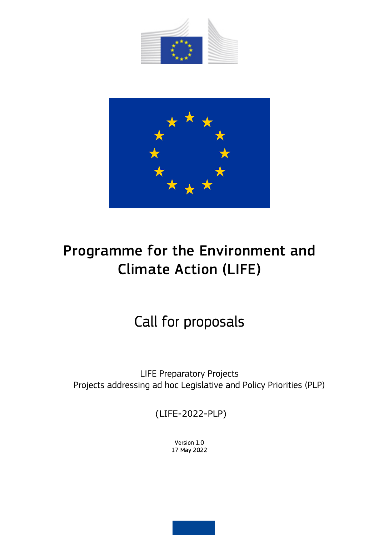



# Programme for the Environment and Climate Action (LIFE)

# Call for proposals

LIFE Preparatory Projects Projects addressing ad hoc Legislative and Policy Priorities (PLP)

(LIFE-2022-PLP)

Version 1.0 17 May 2022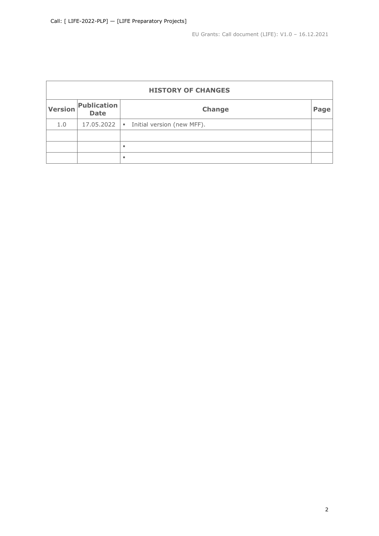EU Grants: Call document (LIFE): V1.0 – 16.12.2021

| <b>HISTORY OF CHANGES</b> |                            |                                              |      |  |  |  |  |
|---------------------------|----------------------------|----------------------------------------------|------|--|--|--|--|
| Version                   | Publication<br><b>Date</b> | <b>Change</b>                                | Page |  |  |  |  |
| 1.0                       | 17.05.2022                 | Initial version (new MFF).<br>$\blacksquare$ |      |  |  |  |  |
|                           |                            |                                              |      |  |  |  |  |
|                           |                            | ٠                                            |      |  |  |  |  |
|                           |                            | ٠                                            |      |  |  |  |  |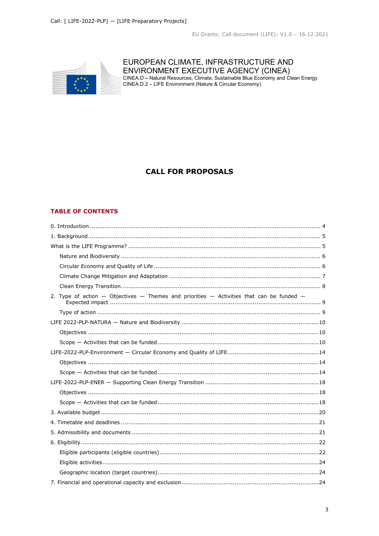

## EUROPEAN CLIMATE, INFRASTRUCTURE AND

ENVIRONMENT EXECUTIVE AGENCY (CINEA)<br>CINEA.D – Natural Resources, Climate, Sustainable Blue Economy and Clean Energy<br>CINEA.D.2 – LIFE Environment (Nature & Circular Economy)

## **CALL FOR PROPOSALS**

## **TABLE OF CONTENTS**

| 2. Type of action $-$ Objectives $-$ Themes and priorities $-$ Activities that can be funded $-$ |  |  |  |  |
|--------------------------------------------------------------------------------------------------|--|--|--|--|
|                                                                                                  |  |  |  |  |
|                                                                                                  |  |  |  |  |
|                                                                                                  |  |  |  |  |
|                                                                                                  |  |  |  |  |
|                                                                                                  |  |  |  |  |
|                                                                                                  |  |  |  |  |
|                                                                                                  |  |  |  |  |
|                                                                                                  |  |  |  |  |
|                                                                                                  |  |  |  |  |
|                                                                                                  |  |  |  |  |
|                                                                                                  |  |  |  |  |
|                                                                                                  |  |  |  |  |
|                                                                                                  |  |  |  |  |
|                                                                                                  |  |  |  |  |
|                                                                                                  |  |  |  |  |
|                                                                                                  |  |  |  |  |
|                                                                                                  |  |  |  |  |
|                                                                                                  |  |  |  |  |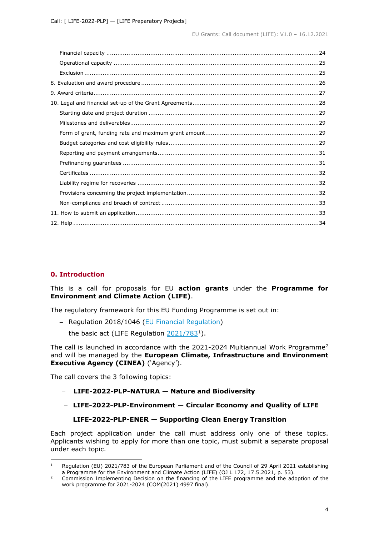## <span id="page-3-0"></span>**0. Introduction**

This is a call for proposals for EU **action grants** under the **Programme for Environment and Climate Action (LIFE)**.

The regulatory framework for this EU Funding Programme is set out in:

- − Regulation 2018/1046 [\(EU Financial Regulation\)](https://eur-lex.europa.eu/legal-content/EN/ALL/?uri=CELEX:32018R1046&qid=1535046024012)
- − the basic act (LIFE Regulation [2021/783](https://eur-lex.europa.eu/legal-content/EN/ALL/?uri=CELEX:32021R0783)[1\)](#page-3-1).

The call is launched in accordance with the [2](#page-3-2)021-2024 Multiannual Work Programme<sup>2</sup> and will be managed by the **European Climate, Infrastructure and Environment Executive Agency (CINEA)** ('Agency').

The call covers the 3 following topics:

- − **LIFE-2022-PLP-NATURA — Nature and Biodiversity**
- − **LIFE-2022-PLP-Environment — Circular Economy and Quality of LIFE**
- − **LIFE-2022-PLP-ENER — Supporting Clean Energy Transition**

Each project application under the call must address only one of these topics. Applicants wishing to apply for more than one topic, must submit a separate proposal under each topic.

<span id="page-3-1"></span><sup>1</sup> Regulation (EU) 2021/783 of the European Parliament and of the Council of 29 April 2021 establishing a Programme for the Environment and Climate Action (LIFE) (OJ L 172, 17.5.2021, p. 53).

<span id="page-3-2"></span><sup>&</sup>lt;sup>2</sup> Commission Implementing Decision on the financing of the LIFE programme and the adoption of the work programme for 2021-2024 (COM(2021) 4997 final).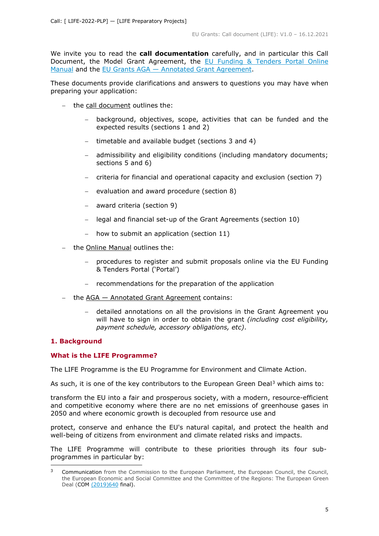We invite you to read the **call documentation** carefully, and in particular this Call Document, the Model Grant Agreement, the [EU Funding & Tenders Portal Online](https://ec.europa.eu/info/funding-tenders/opportunities/docs/2021-2027/common/guidance/om_en.pdf)  [Manual](https://ec.europa.eu/info/funding-tenders/opportunities/docs/2021-2027/common/guidance/om_en.pdf) and the [EU Grants AGA —](https://ec.europa.eu/info/funding-tenders/opportunities/docs/2021-2027/common/guidance/aga_en.pdf) [Annotated Grant Agreement.](https://ec.europa.eu/info/funding-tenders/opportunities/docs/2021-2027/common/guidance/aga_en.pdf)

These documents provide clarifications and answers to questions you may have when preparing your application:

- − the call document outlines the:
	- − background, objectives, scope, activities that can be funded and the expected results (sections 1 and 2)
	- − timetable and available budget (sections 3 and 4)
	- − admissibility and eligibility conditions (including mandatory documents; sections 5 and 6)
	- − criteria for financial and operational capacity and exclusion (section 7)
	- evaluation and award procedure (section 8)
	- − award criteria (section 9)
	- − legal and financial set-up of the Grant Agreements (section 10)
	- − how to submit an application (section 11)
- − the Online Manual outlines the:
	- − procedures to register and submit proposals online via the EU Funding & Tenders Portal ('Portal')
	- − recommendations for the preparation of the application
- − the AGA Annotated Grant Agreement contains:
	- − detailed annotations on all the provisions in the Grant Agreement you will have to sign in order to obtain the grant *(including cost eligibility, payment schedule, accessory obligations, etc)*.

## <span id="page-4-0"></span>**1. Background**

## <span id="page-4-1"></span>**What is the LIFE Programme?**

The LIFE Programme is the EU Programme for Environment and Climate Action.

As such, it is one of the key contributors to the European Green Deal<sup>[3](#page-4-2)</sup> which aims to:

transform the EU into a fair and prosperous society, with a modern, resource-efficient and competitive economy where there are no net emissions of greenhouse gases in 2050 and where economic growth is decoupled from resource use and

protect, conserve and enhance the EU's natural capital, and protect the health and well-being of citizens from environment and climate related risks and impacts.

The LIFE Programme will contribute to these priorities through its four subprogrammes in particular by:

<span id="page-4-2"></span>Communication from the Commission to the European Parliament, the European Council, the Council, the European Economic and Social Committee and the Committee of the Regions: The European Green Deal (COM [\(2019\)640](https://eur-lex.europa.eu/legal-content/EN/ALL/?uri=CELEX:52019DC0640) final)[.](https://eur-lex.europa.eu/legal-content/EN/TXT/?uri=COM%3A2019%3A640%3AFIN)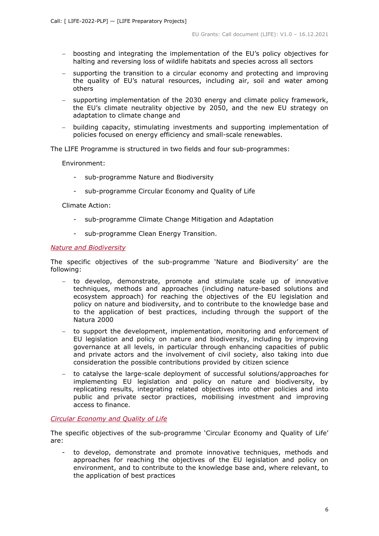- − boosting and integrating the implementation of the EU's policy objectives for halting and reversing loss of wildlife habitats and species across all sectors
- − supporting the transition to a circular economy and protecting and improving the quality of EU's natural resources, including air, soil and water among others
- − supporting implementation of the 2030 energy and climate policy framework, the EU's climate neutrality objective by 2050, and the new EU strategy on adaptation to climate change and
- − building capacity, stimulating investments and supporting implementation of policies focused on energy efficiency and small-scale renewables.

The LIFE Programme is structured in two fields and four sub-programmes:

Environment:

- sub-programme Nature and Biodiversity
- sub-programme Circular Economy and Quality of Life

Climate Action:

- sub-programme Climate Change Mitigation and Adaptation
- sub-programme Clean Energy Transition.

#### <span id="page-5-0"></span>*Nature and Biodiversity*

The specific objectives of the sub-programme 'Nature and Biodiversity' are the following:

- − to develop, demonstrate, promote and stimulate scale up of innovative techniques, methods and approaches (including nature-based solutions and ecosystem approach) for reaching the objectives of the EU legislation and policy on nature and biodiversity, and to contribute to the knowledge base and to the application of best practices, including through the support of the Natura 2000
- − to support the development, implementation, monitoring and enforcement of EU legislation and policy on nature and biodiversity, including by improving governance at all levels, in particular through enhancing capacities of public and private actors and the involvement of civil society, also taking into due consideration the possible contributions provided by citizen science
- − to catalyse the large-scale deployment of successful solutions/approaches for implementing EU legislation and policy on nature and biodiversity, by replicating results, integrating related objectives into other policies and into public and private sector practices, mobilising investment and improving access to finance.

#### <span id="page-5-1"></span>*Circular Economy and Quality of Life*

The specific objectives of the sub-programme 'Circular Economy and Quality of Life' are:

to develop, demonstrate and promote innovative techniques, methods and approaches for reaching the objectives of the EU legislation and policy on environment, and to contribute to the knowledge base and, where relevant, to the application of best practices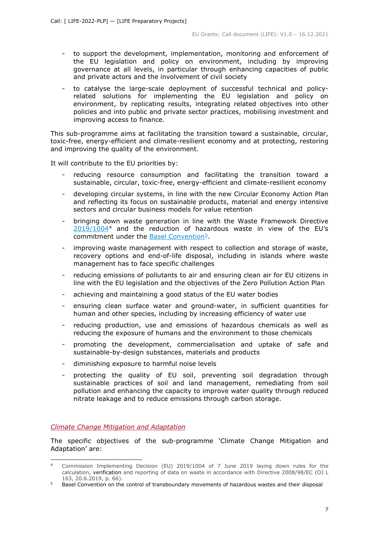- to support the development, implementation, monitoring and enforcement of the EU legislation and policy on environment, including by improving governance at all levels, in particular through enhancing capacities of public and private actors and the involvement of civil society
- to catalyse the large-scale deployment of successful technical and policyrelated solutions for implementing the EU legislation and policy on environment, by replicating results, integrating related objectives into other policies and into public and private sector practices, mobilising investment and improving access to finance.

This sub-programme aims at facilitating the transition toward a sustainable, circular, toxic-free, energy-efficient and climate-resilient economy and at protecting, restoring and improving the quality of the environment.

It will contribute to the EU priorities by:

- reducing resource consumption and facilitating the transition toward a sustainable, circular, toxic-free, energy-efficient and climate-resilient economy
- developing circular systems, in line with the new Circular Economy Action Plan and reflecting its focus on sustainable products, material and energy intensive sectors and circular business models for value retention
- bringing down waste generation in line with the Waste Framework Directive [2019/1004](https://eur-lex.europa.eu/legal-content/EN/ALL/?uri=CELEX:32019D1004)[4](#page-6-1) and the reduction of hazardous waste in view of the EU's commitment under the Basel Convention<sup>5</sup>.
- improving waste management with respect to collection and storage of waste, recovery options and end-of-life disposal, including in islands where waste management has to face specific challenges
- reducing emissions of pollutants to air and ensuring clean air for EU citizens in line with the EU legislation and the objectives of the Zero Pollution Action Plan
- achieving and maintaining a good status of the EU water bodies
- ensuring clean surface water and ground-water, in sufficient quantities for human and other species, including by increasing efficiency of water use
- reducing production, use and emissions of hazardous chemicals as well as reducing the exposure of humans and the environment to those chemicals
- promoting the development, commercialisation and uptake of safe and sustainable-by-design substances, materials and products
- diminishing exposure to harmful noise levels
- protecting the quality of EU soil, preventing soil degradation through sustainable practices of soil and land management, remediating from soil pollution and enhancing the capacity to improve water quality through reduced nitrate leakage and to reduce emissions through carbon storage.

## <span id="page-6-0"></span>*Climate Change Mitigation and Adaptation*

The specific objectives of the sub-programme 'Climate Change Mitigation and Adaptation' are:

<span id="page-6-1"></span><sup>4</sup> Commission Implementing Decision (EU) 2019/1004 of 7 June 2019 laying down rules for the calculation, verification and reporting of data on waste in accordance with Directive 2008/98/EC (OJ L 163, 20.6.2019, p. 66).

<span id="page-6-2"></span><sup>&</sup>lt;sup>5</sup> Basel Convention on the control of transboundary movements of hazardous wastes and their disposal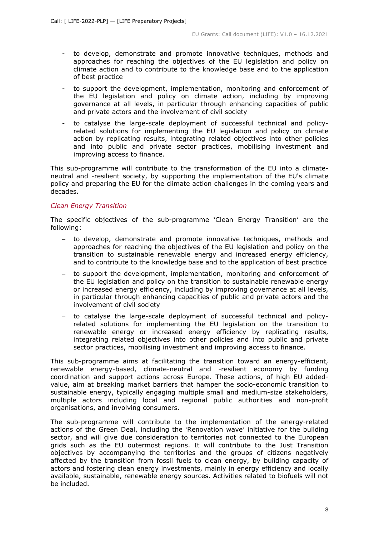- to develop, demonstrate and promote innovative techniques, methods and approaches for reaching the objectives of the EU legislation and policy on climate action and to contribute to the knowledge base and to the application of best practice
- to support the development, implementation, monitoring and enforcement of the EU legislation and policy on climate action, including by improving governance at all levels, in particular through enhancing capacities of public and private actors and the involvement of civil society
- to catalyse the large-scale deployment of successful technical and policyrelated solutions for implementing the EU legislation and policy on climate action by replicating results, integrating related objectives into other policies and into public and private sector practices, mobilising investment and improving access to finance.

This sub-programme will contribute to the transformation of the EU into a climateneutral and -resilient society, by supporting the implementation of the EU's climate policy and preparing the EU for the climate action challenges in the coming years and decades.

## <span id="page-7-0"></span>*Clean Energy Transition*

The specific objectives of the sub-programme 'Clean Energy Transition' are the following:

- − to develop, demonstrate and promote innovative techniques, methods and approaches for reaching the objectives of the EU legislation and policy on the transition to sustainable renewable energy and increased energy efficiency, and to contribute to the knowledge base and to the application of best practice
- − to support the development, implementation, monitoring and enforcement of the EU legislation and policy on the transition to sustainable renewable energy or increased energy efficiency, including by improving governance at all levels, in particular through enhancing capacities of public and private actors and the involvement of civil society
- − to catalyse the large-scale deployment of successful technical and policyrelated solutions for implementing the EU legislation on the transition to renewable energy or increased energy efficiency by replicating results, integrating related objectives into other policies and into public and private sector practices, mobilising investment and improving access to finance.

This sub-programme aims at facilitating the transition toward an energy-efficient, renewable energy-based, climate-neutral and -resilient economy by funding coordination and support actions across Europe. These actions, of high EU addedvalue, aim at breaking market barriers that hamper the socio-economic transition to sustainable energy, typically engaging multiple small and medium-size stakeholders, multiple actors including local and regional public authorities and non-profit organisations, and involving consumers.

The sub-programme will contribute to the implementation of the energy-related actions of the Green Deal, including the 'Renovation wave' initiative for the building sector, and will give due consideration to territories not connected to the European grids such as the EU outermost regions. It will contribute to the Just Transition objectives by accompanying the territories and the groups of citizens negatively affected by the transition from fossil fuels to clean energy, by building capacity of actors and fostering clean energy investments, mainly in energy efficiency and locally available, sustainable, renewable energy sources. Activities related to biofuels will not be included.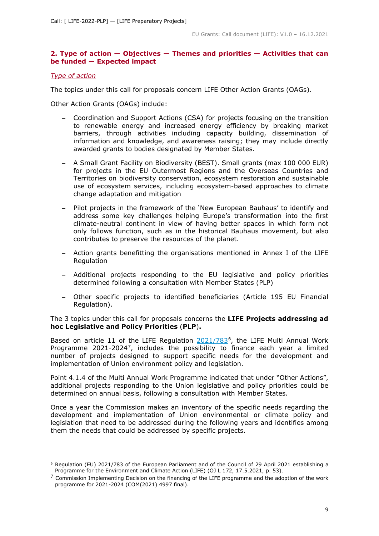## <span id="page-8-0"></span>**2. Type of action — Objectives — Themes and priorities — Activities that can be funded — Expected impact**

## <span id="page-8-1"></span>*Type of action*

The topics under this call for proposals concern LIFE Other Action Grants (OAGs).

Other Action Grants (OAGs) include:

- − Coordination and Support Actions (CSA) for projects focusing on the transition to renewable energy and increased energy efficiency by breaking market barriers, through activities including capacity building, dissemination of information and knowledge, and awareness raising; they may include directly awarded grants to bodies designated by Member States.
- − A Small Grant Facility on Biodiversity (BEST). Small grants (max 100 000 EUR) for projects in the EU Outermost Regions and the Overseas Countries and Territories on biodiversity conservation, ecosystem restoration and sustainable use of ecosystem services, including ecosystem-based approaches to climate change adaptation and mitigation
- Pilot projects in the framework of the 'New European Bauhaus' to identify and address some key challenges helping Europe's transformation into the first climate-neutral continent in view of having better spaces in which form not only follows function, such as in the historical Bauhaus movement, but also contributes to preserve the resources of the planet.
- − Action grants benefitting the organisations mentioned in Annex I of the LIFE **Regulation**
- − Additional projects responding to the EU legislative and policy priorities determined following a consultation with Member States (PLP)
- − Other specific projects to identified beneficiaries (Article 195 EU Financial Regulation).

The 3 topics under this call for proposals concerns the **LIFE Projects addressing ad hoc Legislative and Policy Priorities** (**PLP**)**.**

Based on article 11 of the LIFE Regulation [2021/783](https://eur-lex.europa.eu/legal-content/EN/ALL/?uri=CELEX:32021R0783)<sup>6</sup>, the LIFE Multi Annual Work Programme 2021-2024<sup>[7](#page-8-3)</sup>, includes the possibility to finance each year a limited number of projects designed to support specific needs for the development and implementation of Union environment policy and legislation.

Point 4.1.4 of the Multi Annual Work Programme indicated that under "Other Actions", additional projects responding to the Union legislative and policy priorities could be determined on annual basis, following a consultation with Member States.

Once a year the Commission makes an inventory of the specific needs regarding the development and implementation of Union environmental or climate policy and legislation that need to be addressed during the following years and identifies among them the needs that could be addressed by specific projects.

<span id="page-8-2"></span><sup>6</sup> Regulation (EU) 2021/783 of the European Parliament and of the Council of 29 April 2021 establishing a Programme for the Environment and Climate Action (LIFE) (OJ L 172, 17.5.2021, p. 53).

<span id="page-8-3"></span> $<sup>7</sup>$  Commission Implementing Decision on the financing of the LIFE programme and the adoption of the work</sup> programme for 2021-2024 (COM(2021) 4997 final).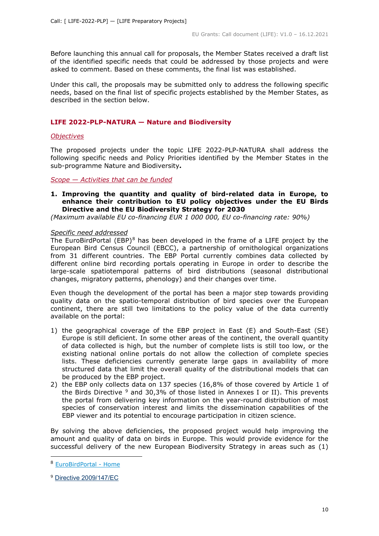Before launching this annual call for proposals, the Member States received a draft list of the identified specific needs that could be addressed by those projects and were asked to comment. Based on these comments, the final list was established.

Under this call, the proposals may be submitted only to address the following specific needs, based on the final list of specific projects established by the Member States, as described in the section below.

## <span id="page-9-0"></span>**LIFE 2022-PLP-NATURA — Nature and Biodiversity**

#### <span id="page-9-1"></span>*Objectives*

The proposed projects under the topic LIFE 2022-PLP-NATURA shall address the following specific needs and Policy Priorities identified by the Member States in the sub-programme Nature and Biodiversity**.**

#### <span id="page-9-2"></span>*Scope — Activities that can be funded*

## **1. Improving the quantity and quality of bird-related data in Europe, to enhance their contribution to EU policy objectives under the EU Birds Directive and the EU Biodiversity Strategy for 2030**

*(Maximum available EU co-financing EUR 1 000 000, EU co-financing rate: 90%)*

#### *Specific need addressed*

The EuroBirdPortal (EBP) $^{8}$  $^{8}$  $^{8}$  has been developed in the frame of a LIFE project by the European Bird Census Council (EBCC), a partnership of ornithological organizations from 31 different countries. The EBP Portal currently combines data collected by different online bird recording portals operating in Europe in order to describe the large-scale spatiotemporal patterns of bird distributions (seasonal distributional changes, migratory patterns, phenology) and their changes over time.

Even though the development of the portal has been a major step towards providing quality data on the spatio-temporal distribution of bird species over the European continent, there are still two limitations to the policy value of the data currently available on the portal:

- 1) the geographical coverage of the EBP project in East (E) and South-East (SE) Europe is still deficient. In some other areas of the continent, the overall quantity of data collected is high, but the number of complete lists is still too low, or the existing national online portals do not allow the collection of complete species lists. These deficiencies currently generate large gaps in availability of more structured data that limit the overall quality of the distributional models that can be produced by the EBP project.
- 2) the EBP only collects data on 137 species (16,8% of those covered by Article 1 of the Birds Directive  $9$  and 30,3% of those listed in Annexes I or II). This prevents the portal from delivering key information on the year-round distribution of most species of conservation interest and limits the dissemination capabilities of the EBP viewer and its potential to encourage participation in citizen science.

By solving the above deficiencies, the proposed project would help improving the amount and quality of data on birds in Europe. This would provide evidence for the successful delivery of the new European Biodiversity Strategy in areas such as (1)

<span id="page-9-3"></span><sup>8</sup> [EuroBirdPortal -](https://eurobirdportal.org/ebp/en/#home/HIRRUS/r52weeks/CUCCAN/r52weeks/) Home

<span id="page-9-4"></span><sup>9</sup> Directive [2009/147/EC](https://eur-lex.europa.eu/legal-content/EN/TXT/?uri=CELEX:32009L0147)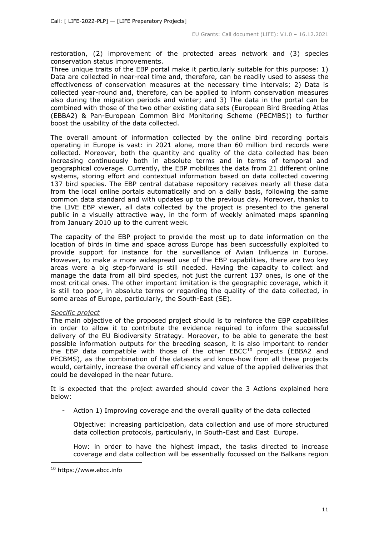restoration, (2) improvement of the protected areas network and (3) species conservation status improvements.

Three unique traits of the EBP portal make it particularly suitable for this purpose: 1) Data are collected in near-real time and, therefore, can be readily used to assess the effectiveness of conservation measures at the necessary time intervals; 2) Data is collected year-round and, therefore, can be applied to inform conservation measures also during the migration periods and winter; and 3) The data in the portal can be combined with those of the two other existing data sets (European Bird Breeding Atlas (EBBA2) & Pan-European Common Bird Monitoring Scheme (PECMBS)) to further boost the usability of the data collected.

The overall amount of information collected by the online bird recording portals operating in Europe is vast: in 2021 alone, more than 60 million bird records were collected. Moreover, both the quantity and quality of the data collected has been increasing continuously both in absolute terms and in terms of temporal and geographical coverage. Currently, the EBP mobilizes the data from 21 different online systems, storing effort and contextual information based on data collected covering 137 bird species. The EBP central database repository receives nearly all these data from the local online portals automatically and on a daily basis, following the same common data standard and with updates up to the previous day. Moreover, thanks to the LIVE EBP viewer, all data collected by the project is presented to the general public in a visually attractive way, in the form of weekly animated maps spanning from January 2010 up to the current week.

The capacity of the EBP project to provide the most up to date information on the location of birds in time and space across Europe has been successfully exploited to provide support for instance for the surveillance of Avian Influenza in Europe. However, to make a more widespread use of the EBP capabilities, there are two key areas were a big step-forward is still needed. Having the capacity to collect and manage the data from all bird species, not just the current 137 ones, is one of the most critical ones. The other important limitation is the geographic coverage, which it is still too poor, in absolute terms or regarding the quality of the data collected, in some areas of Europe, particularly, the South-East (SE).

## *Specific project*

The main objective of the proposed project should is to reinforce the EBP capabilities in order to allow it to contribute the evidence required to inform the successful delivery of the EU Biodiversity Strategy. Moreover, to be able to generate the best possible information outputs for the breeding season, it is also important to render the EBP data compatible with those of the other EBCC<sup>[10](#page-10-0)</sup> projects (EBBA2 and PECBMS), as the combination of the datasets and know-how from all these projects would, certainly, increase the overall efficiency and value of the applied deliveries that could be developed in the near future.

It is expected that the project awarded should cover the 3 Actions explained here below:

- Action 1) Improving coverage and the overall quality of the data collected
	- Objective: increasing participation, data collection and use of more structured data collection protocols, particularly, in South-East and East Europe.

How: in order to have the highest impact, the tasks directed to increase coverage and data collection will be essentially focussed on the Balkans region

<span id="page-10-0"></span><sup>10</sup> https://www.ebcc.inf[o](https://www.bing.com/search?q=EBCC&qs=n&form=QBRE&msbsrank=6_7__0&sp=-1&pq=ebcc&sc=7-4&sk=&cvid=AC844950C1E54D2DAD96FC52C2FD5CD3)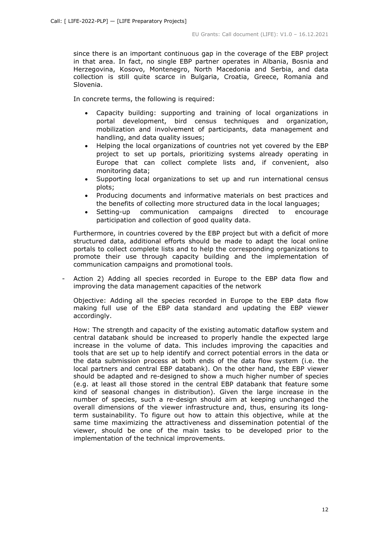since there is an important continuous gap in the coverage of the EBP project in that area. In fact, no single EBP partner operates in Albania, Bosnia and Herzegovina, Kosovo, Montenegro, North Macedonia and Serbia, and data collection is still quite scarce in Bulgaria, Croatia, Greece, Romania and Slovenia.

In concrete terms, the following is required:

- Capacity building: supporting and training of local organizations in portal development, bird census techniques and organization, mobilization and involvement of participants, data management and handling, and data quality issues;
- Helping the local organizations of countries not yet covered by the EBP project to set up portals, prioritizing systems already operating in Europe that can collect complete lists and, if convenient, also monitoring data;
- Supporting local organizations to set up and run international census plots;
- Producing documents and informative materials on best practices and the benefits of collecting more structured data in the local languages;
- Setting-up communication campaigns directed to encourage participation and collection of good quality data.

Furthermore, in countries covered by the EBP project but with a deficit of more structured data, additional efforts should be made to adapt the local online portals to collect complete lists and to help the corresponding organizations to promote their use through capacity building and the implementation of communication campaigns and promotional tools.

Action 2) Adding all species recorded in Europe to the EBP data flow and improving the data management capacities of the network

Objective: Adding all the species recorded in Europe to the EBP data flow making full use of the EBP data standard and updating the EBP viewer accordingly.

How: The strength and capacity of the existing automatic dataflow system and central databank should be increased to properly handle the expected large increase in the volume of data. This includes improving the capacities and tools that are set up to help identify and correct potential errors in the data or the data submission process at both ends of the data flow system (i.e. the local partners and central EBP databank). On the other hand, the EBP viewer should be adapted and re-designed to show a much higher number of species (e.g. at least all those stored in the central EBP databank that feature some kind of seasonal changes in distribution). Given the large increase in the number of species, such a re-design should aim at keeping unchanged the overall dimensions of the viewer infrastructure and, thus, ensuring its longterm sustainability. To figure out how to attain this objective, while at the same time maximizing the attractiveness and dissemination potential of the viewer, should be one of the main tasks to be developed prior to the implementation of the technical improvements.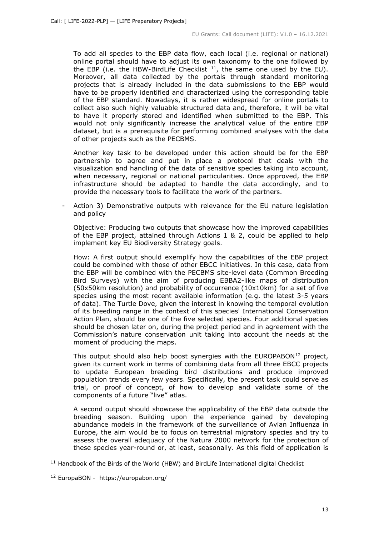To add all species to the EBP data flow, each local (i.e. regional or national) online portal should have to adjust its own taxonomy to the one followed by the EBP (i.e. the HBW-BirdLife Checklist  $11$ , the same one used by the EU). Moreover, all data collected by the portals through standard monitoring projects that is already included in the data submissions to the EBP would have to be properly identified and characterized using the corresponding table of the EBP standard. Nowadays, it is rather widespread for online portals to collect also such highly valuable structured data and, therefore, it will be vital to have it properly stored and identified when submitted to the EBP. This would not only significantly increase the analytical value of the entire EBP dataset, but is a prerequisite for performing combined analyses with the data of other projects such as the PECBMS.

Another key task to be developed under this action should be for the EBP partnership to agree and put in place a protocol that deals with the visualization and handling of the data of sensitive species taking into account, when necessary, regional or national particularities. Once approved, the EBP infrastructure should be adapted to handle the data accordingly, and to provide the necessary tools to facilitate the work of the partners.

Action 3) Demonstrative outputs with relevance for the EU nature legislation and policy

Objective: Producing two outputs that showcase how the improved capabilities of the EBP project, attained through Actions 1 & 2, could be applied to help implement key EU Biodiversity Strategy goals.

How: A first output should exemplify how the capabilities of the EBP project could be combined with those of other EBCC initiatives. In this case, data from the EBP will be combined with the PECBMS site-level data (Common Breeding Bird Surveys) with the aim of producing EBBA2-like maps of distribution (50x50km resolution) and probability of occurrence (10x10km) for a set of five species using the most recent available information (e.g. the latest 3-5 years of data). The Turtle Dove, given the interest in knowing the temporal evolution of its breeding range in the context of this species' International Conservation Action Plan, should be one of the five selected species. Four additional species should be chosen later on, during the project period and in agreement with the Commission's nature conservation unit taking into account the needs at the moment of producing the maps.

This output should also help boost synergies with the EUROPABON $^{12}$  $^{12}$  $^{12}$  project, given its current work in terms of combining data from all three EBCC projects to update European breeding bird distributions and produce improved population trends every few years. Specifically, the present task could serve as trial, or proof of concept, of how to develop and validate some of the components of a future "live" atlas.

A second output should showcase the applicability of the EBP data outside the breeding season. Building upon the experience gained by developing abundance models in the framework of the surveillance of Avian Influenza in Europe, the aim would be to focus on terrestrial migratory species and try to assess the overall adequacy of the Natura 2000 network for the protection of these species year-round or, at least, seasonally. As this field of application is

<span id="page-12-0"></span> $11$  Handbook of the Birds of the World (HBW) and BirdLife International digital Checklist

<span id="page-12-1"></span><sup>12</sup> EuropaBON - https://europabon.org/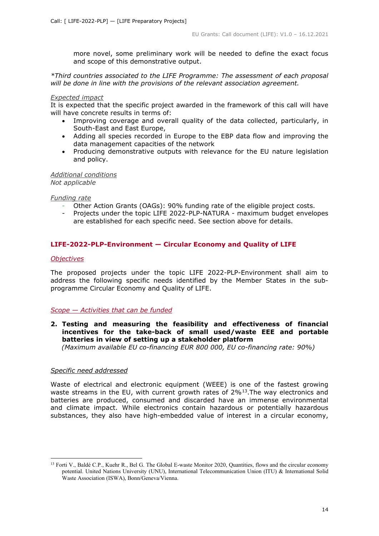more novel, some preliminary work will be needed to define the exact focus and scope of this demonstrative output.

*\*Third countries associated to the LIFE Programme: The assessment of each proposal will be done in line with the provisions of the relevant association agreement.* 

#### *Expected impact*

It is expected that the specific project awarded in the framework of this call will have will have concrete results in terms of:

- Improving coverage and overall quality of the data collected, particularly, in South-East and East Europe,
- Adding all species recorded in Europe to the EBP data flow and improving the data management capacities of the network
- Producing demonstrative outputs with relevance for the EU nature legislation and policy.

*Additional conditions Not applicable*

*Funding rate*

- Other Action Grants (OAGs): 90% funding rate of the eligible project costs.
- Projects under the topic LIFE 2022-PLP-NATURA maximum budget envelopes are established for each specific need. See section above for details.

## <span id="page-13-0"></span>**LIFE-2022-PLP-Environment — Circular Economy and Quality of LIFE**

## <span id="page-13-1"></span>*Objectives*

The proposed projects under the topic LIFE 2022-PLP-Environment shall aim to address the following specific needs identified by the Member States in the subprogramme Circular Economy and Quality of LIFE.

## <span id="page-13-2"></span>*Scope — Activities that can be funded*

**2. Testing and measuring the feasibility and effectiveness of financial incentives for the take-back of small used/waste EEE and portable batteries in view of setting up a stakeholder platform**

 *(Maximum available EU co-financing EUR 800 000, EU co-financing rate: 90%)*

## *Specific need addressed*

Waste of electrical and electronic equipment (WEEE) is one of the fastest growing waste streams in the EU, with current growth rates of  $2\%$ <sup>[13](#page-13-3)</sup>. The way electronics and batteries are produced, consumed and discarded have an immense environmental and climate impact. While electronics contain hazardous or potentially hazardous substances, they also have high-embedded value of interest in a circular economy,

<span id="page-13-3"></span><sup>&</sup>lt;sup>13</sup> Forti V., Baldé C.P., Kuehr R., Bel G. The Global E-waste Monitor 2020, Quantities, flows and the circular economy potential. United Nations University (UNU), International Telecommunication Union (ITU) & International Solid Waste Association (ISWA), Bonn/Geneva/Vienna.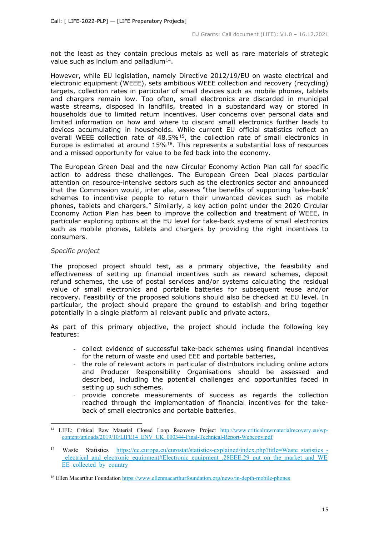not the least as they contain precious metals as well as rare materials of strategic value such as indium and palladium<sup>[14](#page-14-0)</sup>.

However, while EU legislation, namely Directive 2012/19/EU on waste electrical and electronic equipment (WEEE), sets ambitious WEEE collection and recovery (recycling) targets, collection rates in particular of small devices such as mobile phones, tablets and chargers remain low. Too often, small electronics are discarded in municipal waste streams, disposed in landfills, treated in a substandard way or stored in households due to limited return incentives. User concerns over personal data and limited information on how and where to discard small electronics further leads to devices accumulating in households. While current EU official statistics reflect an overall WEEE collection rate of  $48.5\%$ <sup>15</sup>, the collection rate of small electronics in Europe is estimated at around  $15\%$ <sup>16</sup>. This represents a substantial loss of resources and a missed opportunity for value to be fed back into the economy.

The European Green Deal and the new Circular Economy Action Plan call for specific action to address these challenges. The European Green Deal places particular attention on resource-intensive sectors such as the electronics sector and announced that the Commission would, inter alia, assess "the benefits of supporting 'take-back' schemes to incentivise people to return their unwanted devices such as mobile phones, tablets and chargers." Similarly, a key action point under the 2020 Circular Economy Action Plan has been to improve the collection and treatment of WEEE, in particular exploring options at the EU level for take-back systems of small electronics such as mobile phones, tablets and chargers by providing the right incentives to consumers.

#### *Specific project*

The proposed project should test, as a primary objective, the feasibility and effectiveness of setting up financial incentives such as reward schemes, deposit refund schemes, the use of postal services and/or systems calculating the residual value of small electronics and portable batteries for subsequent reuse and/or recovery. Feasibility of the proposed solutions should also be checked at EU level. In particular, the project should prepare the ground to establish and bring together potentially in a single platform all relevant public and private actors.

As part of this primary objective, the project should include the following key features:

- collect evidence of successful take-back schemes using financial incentives for the return of waste and used EEE and portable batteries,
- the role of relevant actors in particular of distributors including online actors and Producer Responsibility Organisations should be assessed and described, including the potential challenges and opportunities faced in setting up such schemes.
- provide concrete measurements of success as regards the collection reached through the implementation of financial incentives for the takeback of small electronics and portable batteries.

<span id="page-14-0"></span><sup>&</sup>lt;sup>14</sup> LIFE: Critical Raw Material Closed Loop Recovery Project [http://www.criticalrawmaterialrecovery.eu/wp](http://www.criticalrawmaterialrecovery.eu/wp-content/uploads/2019/10/LIFE14_ENV_UK_000344-Final-Technical-Report-Webcopy.pdf)[content/uploads/2019/10/LIFE14\\_ENV\\_UK\\_000344-Final-Technical-Report-Webcopy.pdf](http://www.criticalrawmaterialrecovery.eu/wp-content/uploads/2019/10/LIFE14_ENV_UK_000344-Final-Technical-Report-Webcopy.pdf)

<span id="page-14-1"></span><sup>&</sup>lt;sup>15</sup> Waste Statistics https://ec.europa.eu/eurostat/statistics-explained/index.php?title=Waste statistics electrical and electronic equipment#Electronic equipment. 28EEE.29 put on the market and WE [EE\\_collected\\_by\\_country](https://ec.europa.eu/eurostat/statistics-explained/index.php?title=Waste_statistics_-_electrical_and_electronic_equipment#Electronic_equipment_.28EEE.29_put_on_the_market_and_WEEE_collected_by_country)

<span id="page-14-2"></span><sup>16</sup> Ellen Macarthur Foundation<https://www.ellenmacarthurfoundation.org/news/in-depth-mobile-phones>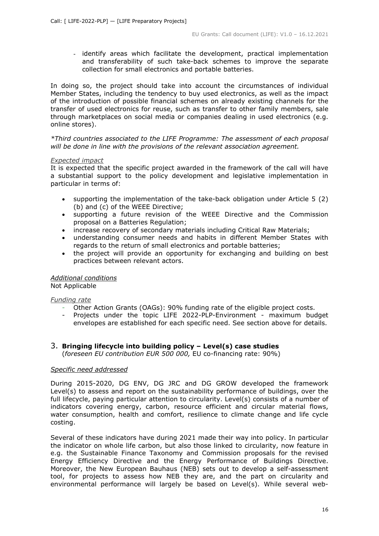- identify areas which facilitate the development, practical implementation and transferability of such take-back schemes to improve the separate collection for small electronics and portable batteries.

In doing so, the project should take into account the circumstances of individual Member States, including the tendency to buy used electronics, as well as the impact of the introduction of possible financial schemes on already existing channels for the transfer of used electronics for reuse, such as transfer to other family members, sale through marketplaces on social media or companies dealing in used electronics (e.g. online stores).

*\*Third countries associated to the LIFE Programme: The assessment of each proposal will be done in line with the provisions of the relevant association agreement.* 

#### *Expected impact*

It is expected that the specific project awarded in the framework of the call will have a substantial support to the policy development and legislative implementation in particular in terms of:

- supporting the implementation of the take-back obligation under Article 5 (2) (b) and (c) of the WEEE Directive;
- supporting a future revision of the WEEE Directive and the Commission proposal on a Batteries Regulation;
- increase recovery of secondary materials including Critical Raw Materials;
- understanding consumer needs and habits in different Member States with regards to the return of small electronics and portable batteries;
- the project will provide an opportunity for exchanging and building on best practices between relevant actors.

## *Additional conditions*

Not Applicable

## *Funding rate*

- Other Action Grants (OAGs): 90% funding rate of the eligible project costs.
- Projects under the topic LIFE 2022-PLP-Environment maximum budget envelopes are established for each specific need. See section above for details.

## 3. **Bringing lifecycle into building policy – Level(s) case studies**

(*foreseen EU contribution EUR 500 000,* EU co-financing rate: 90%)

## *Specific need addressed*

During 2015-2020, DG ENV, DG JRC and DG GROW developed the framework Level(s) to assess and report on the sustainability performance of buildings, over the full lifecycle, paying particular attention to circularity. Level(s) consists of a number of indicators covering energy, carbon, resource efficient and circular material flows, water consumption, health and comfort, resilience to climate change and life cycle costing.

Several of these indicators have during 2021 made their way into policy. In particular the indicator on whole life carbon, but also those linked to circularity, now feature in e.g. the Sustainable Finance Taxonomy and Commission proposals for the revised Energy Efficiency Directive and the Energy Performance of Buildings Directive. Moreover, the New European Bauhaus (NEB) sets out to develop a self-assessment tool, for projects to assess how NEB they are, and the part on circularity and environmental performance will largely be based on Level(s). While several web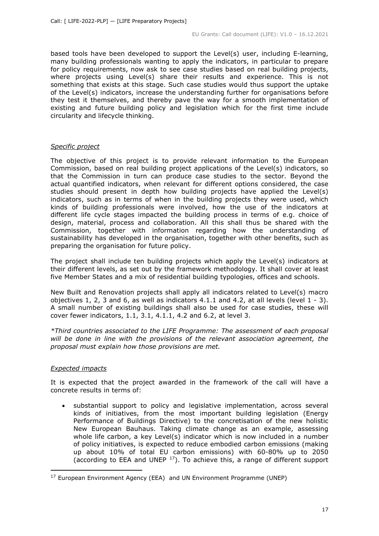based tools have been developed to support the Level(s) user, including E-learning, many building professionals wanting to apply the indicators, in particular to prepare for policy requirements, now ask to see case studies based on real building projects, where projects using Level(s) share their results and experience. This is not something that exists at this stage. Such case studies would thus support the uptake of the Level(s) indicators, increase the understanding further for organisations before they test it themselves, and thereby pave the way for a smooth implementation of existing and future building policy and legislation which for the first time include circularity and lifecycle thinking.

## *Specific project*

The objective of this project is to provide relevant information to the European Commission, based on real building project applications of the Level(s) indicators, so that the Commission in turn can produce case studies to the sector. Beyond the actual quantified indicators, when relevant for different options considered, the case studies should present in depth how building projects have applied the Level(s) indicators, such as in terms of when in the building projects they were used, which kinds of building professionals were involved, how the use of the indicators at different life cycle stages impacted the building process in terms of e.g. choice of design, material, process and collaboration. All this shall thus be shared with the Commission, together with information regarding how the understanding of sustainability has developed in the organisation, together with other benefits, such as preparing the organisation for future policy.

The project shall include ten building projects which apply the Level(s) indicators at their different levels, as set out by the framework methodology. It shall cover at least five Member States and a mix of residential building typologies, offices and schools.

New Built and Renovation projects shall apply all indicators related to Level(s) macro objectives 1, 2, 3 and 6, as well as indicators  $4.1.1$  and  $4.2$ , at all levels (level  $1 - 3$ ). A small number of existing buildings shall also be used for case studies, these will cover fewer indicators, 1.1, 3.1, 4.1.1, 4.2 and 6.2, at level 3.

*\*Third countries associated to the LIFE Programme: The assessment of each proposal will be done in line with the provisions of the relevant association agreement, the proposal must explain how those provisions are met.* 

## *Expected impacts*

It is expected that the project awarded in the framework of the call will have a concrete results in terms of:

• substantial support to policy and legislative implementation, across several kinds of initiatives, from the most important building legislation (Energy Performance of Buildings Directive) to the concretisation of the new holistic New European Bauhaus. Taking climate change as an example, assessing whole life carbon, a key Level(s) indicator which is now included in a number of policy initiatives, is expected to reduce embodied carbon emissions (making up about 10% of total EU carbon emissions) with 60-80% up to 2050 (according to EEA and UNEP  $17$ ). To achieve this, a range of different support

<span id="page-16-0"></span><sup>&</sup>lt;sup>17</sup> European Environment Agency (EEA) and UN Environment Programme (UNEP)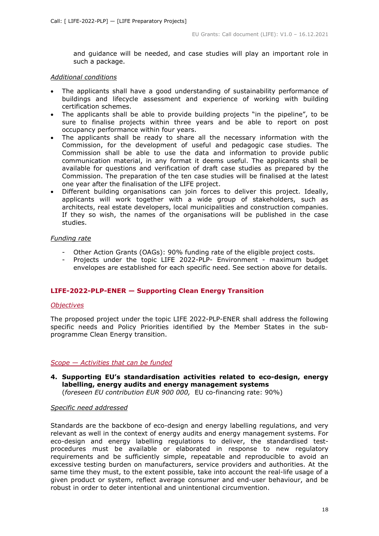and guidance will be needed, and case studies will play an important role in such a package.

#### *Additional conditions*

- The applicants shall have a good understanding of sustainability performance of buildings and lifecycle assessment and experience of working with building certification schemes.
- The applicants shall be able to provide building projects "in the pipeline", to be sure to finalise projects within three years and be able to report on post occupancy performance within four years.
- The applicants shall be ready to share all the necessary information with the Commission, for the development of useful and pedagogic case studies. The Commission shall be able to use the data and information to provide public communication material, in any format it deems useful. The applicants shall be available for questions and verification of draft case studies as prepared by the Commission. The preparation of the ten case studies will be finalised at the latest one year after the finalisation of the LIFE project.
- Different building organisations can join forces to deliver this project. Ideally, applicants will work together with a wide group of stakeholders, such as architects, real estate developers, local municipalities and construction companies. If they so wish, the names of the organisations will be published in the case studies.

## *Funding rate*

- Other Action Grants (OAGs): 90% funding rate of the eligible project costs.
- Projects under the topic LIFE 2022-PLP- Environment maximum budget envelopes are established for each specific need. See section above for details.

## <span id="page-17-0"></span>**LIFE-2022-PLP-ENER — Supporting Clean Energy Transition**

## <span id="page-17-1"></span>*Objectives*

The proposed project under the topic LIFE 2022-PLP-ENER shall address the following specific needs and Policy Priorities identified by the Member States in the subprogramme Clean Energy transition.

## <span id="page-17-2"></span>*Scope — Activities that can be funded*

**4. Supporting EU's standardisation activities related to eco-design, energy labelling, energy audits and energy management systems** (*foreseen EU contribution EUR 900 000,* EU co-financing rate: 90%)

## *Specific need addressed*

Standards are the backbone of eco-design and energy labelling regulations, and very relevant as well in the context of energy audits and energy management systems. For eco-design and energy labelling regulations to deliver, the standardised testprocedures must be available or elaborated in response to new regulatory requirements and be sufficiently simple, repeatable and reproducible to avoid an excessive testing burden on manufacturers, service providers and authorities. At the same time they must, to the extent possible, take into account the real-life usage of a given product or system, reflect average consumer and end-user behaviour, and be robust in order to deter intentional and unintentional circumvention.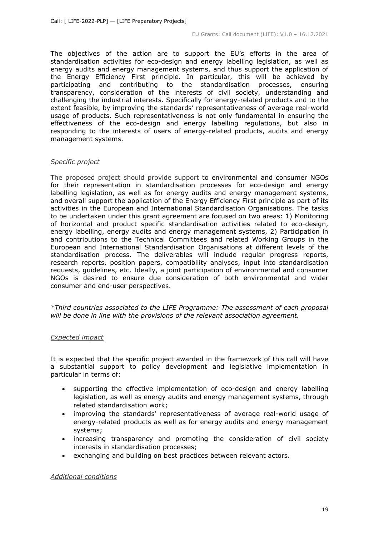The objectives of the action are to support the EU's efforts in the area of standardisation activities for eco-design and energy labelling legislation, as well as energy audits and energy management systems, and thus support the application of the Energy Efficiency First principle. In particular, this will be achieved by participating and contributing to the standardisation processes, ensuring transparency, consideration of the interests of civil society, understanding and challenging the industrial interests. Specifically for energy-related products and to the extent feasible, by improving the standards' representativeness of average real-world usage of products. Such representativeness is not only fundamental in ensuring the effectiveness of the eco-design and energy labelling regulations, but also in responding to the interests of users of energy-related products, audits and energy management systems.

#### *Specific project*

The proposed project should provide support to environmental and consumer NGOs for their representation in standardisation processes for eco-design and energy labelling legislation, as well as for energy audits and energy management systems, and overall support the application of the Energy Efficiency First principle as part of its activities in the European and International Standardisation Organisations. The tasks to be undertaken under this grant agreement are focused on two areas: 1) Monitoring of horizontal and product specific standardisation activities related to eco-design, energy labelling, energy audits and energy management systems, 2) Participation in and contributions to the Technical Committees and related Working Groups in the European and International Standardisation Organisations at different levels of the standardisation process. The deliverables will include regular progress reports, research reports, position papers, compatibility analyses, input into standardisation requests, guidelines, etc. Ideally, a joint participation of environmental and consumer NGOs is desired to ensure due consideration of both environmental and wider consumer and end-user perspectives.

*\*Third countries associated to the LIFE Programme: The assessment of each proposal will be done in line with the provisions of the relevant association agreement.* 

## *Expected impact*

It is expected that the specific project awarded in the framework of this call will have a substantial support to policy development and legislative implementation in particular in terms of:

- supporting the effective implementation of eco-design and energy labelling legislation, as well as energy audits and energy management systems, through related standardisation work;
- improving the standards' representativeness of average real-world usage of energy-related products as well as for energy audits and energy management systems;
- increasing transparency and promoting the consideration of civil society interests in standardisation processes;
- exchanging and building on best practices between relevant actors.

*Additional conditions*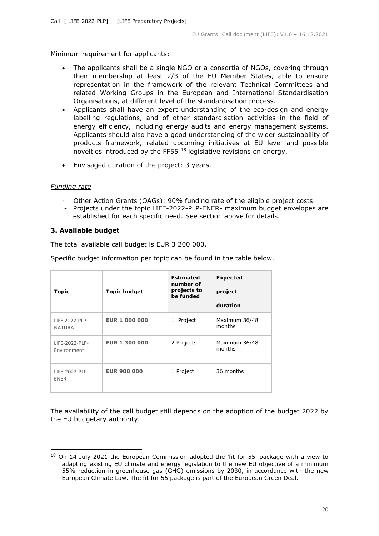Minimum requirement for applicants:

- The applicants shall be a single NGO or a consortia of NGOs, covering through their membership at least 2/3 of the EU Member States, able to ensure representation in the framework of the relevant Technical Committees and related Working Groups in the European and International Standardisation Organisations, at different level of the standardisation process.
- Applicants shall have an expert understanding of the eco-design and energy labelling regulations, and of other standardisation activities in the field of energy efficiency, including energy audits and energy management systems. Applicants should also have a good understanding of the wider sustainability of products framework, related upcoming initiatives at EU level and possible novelties introduced by the FF55 [18](#page-19-1) legislative revisions on energy.
- Envisaged duration of the project: 3 years.

## *Funding rate*

- Other Action Grants (OAGs): 90% funding rate of the eligible project costs.
- Projects under the topic LIFE-2022-PLP-ENER- maximum budget envelopes are established for each specific need. See section above for details.

## <span id="page-19-0"></span>**3. Available budget**

The total available call budget is EUR 3 200 000.

Specific budget information per topic can be found in the table below.

| <b>Topic</b>                    | <b>Topic budget</b>  | <b>Estimated</b><br>number of<br>projects to<br>be funded | <b>Expected</b><br>project<br>duration |
|---------------------------------|----------------------|-----------------------------------------------------------|----------------------------------------|
| LIFE 2022-PLP-<br><b>NATURA</b> | <b>EUR 1 000 000</b> | 1 Project                                                 | Maximum 36/48<br>months                |
| LIFE-2022-PLP-<br>Environment   | <b>EUR 1 300 000</b> | 2 Projects                                                | Maximum 36/48<br>months                |
| LIFE-2022-PLP-<br>ENER          | <b>EUR 900 000</b>   | 1 Project                                                 | 36 months                              |

The availability of the call budget still depends on the adoption of the budget 2022 by the EU budgetary authority.

<span id="page-19-1"></span><sup>&</sup>lt;sup>18</sup> On 14 July 2021 the European Commission adopted the 'fit for 55' package with a view to adapting existing EU climate and energy legislation to the new EU objective of a minimum 55% reduction in greenhouse gas (GHG) emissions by 2030, in accordance with the new European Climate Law. The fit for 55 package is part of the European Green Deal.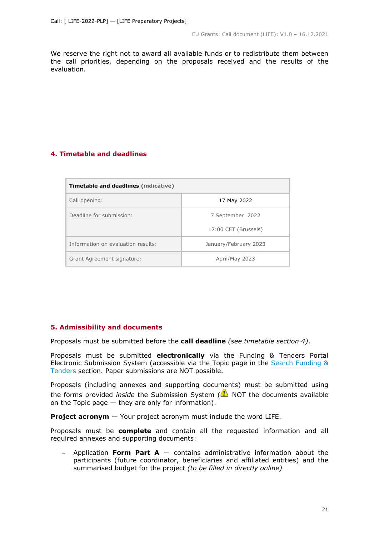We reserve the right not to award all available funds or to redistribute them between the call priorities, depending on the proposals received and the results of the evaluation.

## <span id="page-20-0"></span>**4. Timetable and deadlines**

| <b>Timetable and deadlines (indicative)</b> |                       |  |  |  |
|---------------------------------------------|-----------------------|--|--|--|
| Call opening:                               | 17 May 2022           |  |  |  |
| Deadline for submission:                    | 7 September 2022      |  |  |  |
|                                             | 17:00 CET (Brussels)  |  |  |  |
| Information on evaluation results:          | January/February 2023 |  |  |  |
| Grant Agreement signature:                  | April/May 2023        |  |  |  |

## <span id="page-20-1"></span>**5. Admissibility and documents**

Proposals must be submitted before the **call deadline** *(see timetable section 4)*.

Proposals must be submitted **electronically** via the Funding & Tenders Portal Electronic Submission System (accessible via the Topic page in the Search Funding & [Tenders](https://ec.europa.eu/info/funding-tenders/opportunities/portal/screen/opportunities/topic-search;freeTextSearchKeyword=;typeCodes=0,1;statusCodes=31094501,31094502,31094503;programCode=null;programDivisionCode=null;focusAreaCode=null;crossCuttingPriorityCode=null;callCode=Default;sortQuery=openingDate;orderBy=asc;onlyTenders=false;topicListKey=topicSearchTablePageState) section. Paper submissions are NOT possible.

Proposals (including annexes and supporting documents) must be submitted using the forms provided *inside* the Submission System (**A**) NOT the documents available on the Topic page — they are only for information).

**Project acronym** — Your project acronym must include the word LIFE.

Proposals must be **complete** and contain all the requested information and all required annexes and supporting documents:

− Application **Form Part A** — contains administrative information about the participants (future coordinator, beneficiaries and affiliated entities) and the summarised budget for the project *(to be filled in directly online)*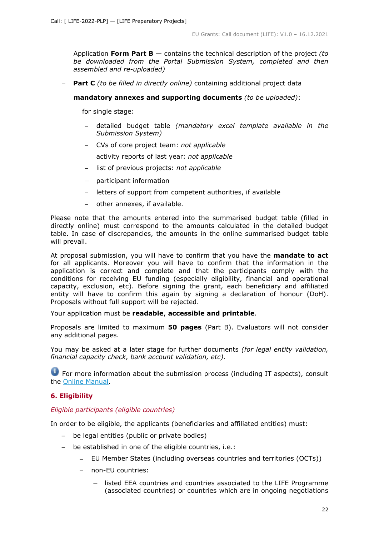- − Application **Form Part B** contains the technical description of the project *(to be downloaded from the Portal Submission System, completed and then assembled and re-uploaded)*
- − **Part C** *(to be filled in directly online)* containing additional project data
- − **mandatory annexes and supporting documents** *(to be uploaded)*:
	- − for single stage:
		- − detailed budget table *(mandatory excel template available in the Submission System)*
		- − CVs of core project team: *not applicable*
		- − activity reports of last year: *not applicable*
		- − list of previous projects: *not applicable*
		- − participant information
		- − letters of support from competent authorities, if available
		- − other annexes, if available.

Please note that the amounts entered into the summarised budget table (filled in directly online) must correspond to the amounts calculated in the detailed budget table. In case of discrepancies, the amounts in the online summarised budget table will prevail.

At proposal submission, you will have to confirm that you have the **mandate to act** for all applicants. Moreover you will have to confirm that the information in the application is correct and complete and that the participants comply with the conditions for receiving EU funding (especially eligibility, financial and operational capacity, exclusion, etc). Before signing the grant, each beneficiary and affiliated entity will have to confirm this again by signing a declaration of honour (DoH). Proposals without full support will be rejected.

Your application must be **readable**, **accessible and printable**.

Proposals are limited to maximum **50 pages** (Part B). Evaluators will not consider any additional pages.

You may be asked at a later stage for further documents *(for legal entity validation, financial capacity check, bank account validation, etc)*.

**•** For more information about the submission process (including IT aspects), consult the [Online Manual.](https://ec.europa.eu/info/funding-tenders/opportunities/docs/2021-2027/common/guidance/om_en.pdf)

## <span id="page-21-0"></span>**6. Eligibility**

## <span id="page-21-1"></span>*Eligible participants (eligible countries)*

In order to be eligible, the applicants (beneficiaries and affiliated entities) must:

- − be legal entities (public or private bodies)
- − be established in one of the eligible countries, i.e.:
	- − EU Member States (including overseas countries and territories (OCTs))
	- − non-EU countries:
		- − listed EEA countries and countries associated to the LIFE Programme (associated countries) or countries which are in ongoing negotiations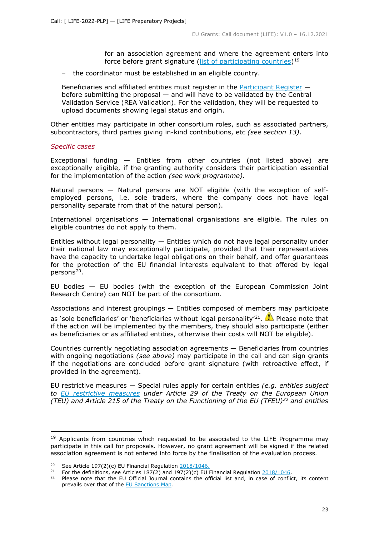for an association agreement and where the agreement enters into force before grant signature [\(list of participating countries\)](https://ec.europa.eu/info/funding-tenders/opportunities/docs/2021-2027/life/guidance/list-3rd-country-participation_life_en.pdf)<sup>[19](#page-22-0)</sup>

− the coordinator must be established in an eligible country.

Beneficiaries and affiliated entities must register in the [Participant Register](https://ec.europa.eu/info/funding-tenders/opportunities/portal/screen/how-to-participate/participant-register) before submitting the proposal — and will have to be validated by the Central Validation Service (REA Validation). For the validation, they will be requested to upload documents showing legal status and origin.

Other entities may participate in other consortium roles, such as associated partners, subcontractors, third parties giving in-kind contributions, etc *(see section 13)*.

#### *Specific cases*

Exceptional funding — Entities from other countries (not listed above) are exceptionally eligible, if the granting authority considers their participation essential for the implementation of the action *(see work programme).*

Natural persons — Natural persons are NOT eligible (with the exception of selfemployed persons, i.e. sole traders, where the company does not have legal personality separate from that of the natural person).

International organisations — International organisations are eligible. The rules on eligible countries do not apply to them.

Entities without legal personality  $-$  Entities which do not have legal personality under their national law may exceptionally participate, provided that their representatives have the capacity to undertake legal obligations on their behalf, and offer guarantees for the protection of the EU financial interests equivalent to that offered by legal persons<sup>[20](#page-22-1)</sup>.

EU bodies — EU bodies (with the exception of the European Commission Joint Research Centre) can NOT be part of the consortium.

Associations and interest groupings — Entities composed of members may participate

as 'sole beneficiaries' or 'beneficiaries without legal personality'<sup>21</sup>.  $\bullet$  Please note that if the action will be implemented by the members, they should also participate (either as beneficiaries or as affiliated entities, otherwise their costs will NOT be eligible).

Countries currently negotiating association agreements — Beneficiaries from countries with ongoing negotiations *(see above)* may participate in the call and can sign grants if the negotiations are concluded before grant signature (with retroactive effect, if provided in the agreement).

EU restrictive measures — Special rules apply for certain entities *(e.g. entities subject to [EU restrictive measures](http://www.sanctionsmap.eu/) under Article 29 of the Treaty on the European Union (TEU) and Article 215 of the Treaty on the Functioning of the EU (TFEU)[22](#page-22-3) and entities* 

<span id="page-22-0"></span> $19$  Applicants from countries which requested to be associated to the LIFE Programme may participate in this call for proposals. However, no grant agreement will be signed if the related association agreement is not entered into force by the finalisation of the evaluation process.

<span id="page-22-2"></span><span id="page-22-1"></span><sup>&</sup>lt;sup>20</sup> See Article 197(2)(c) EU Financial Regulation  $\frac{2018/1046}{21}$ .<br><sup>21</sup> For the definitions, see Articles 187(2) and 197(2)(c) ELL

For the definitions, see Articles 187(2) and 197(2)(c) EU Financial Regulation  $\frac{2018/1046}{1000}$ .

<span id="page-22-3"></span>Please note that the EU Official Journal contains the official list and, in case of conflict, its content prevails over that of the [EU Sanctions Map.](http://www.sanctionsmap.eu/)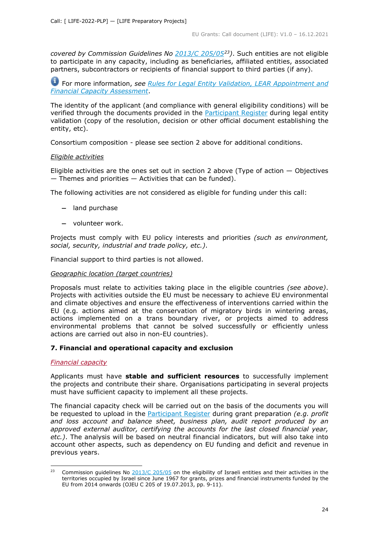*covered by Commission Guidelines No [2013/C 205/05](http://eur-lex.europa.eu/LexUriServ/LexUriServ.do?uri=OJ:C:2013:205:FULL:EN:PDF)[23\)](#page-23-4)*. Such entities are not eligible to participate in any capacity, including as beneficiaries, affiliated entities, associated partners, subcontractors or recipients of financial support to third parties (if any).

For more information, *see [Rules for Legal Entity Validation, LEAR Appointment and](https://ec.europa.eu/info/funding-tenders/opportunities/docs/2021-2027/common/guidance/rules-lev-lear-fca_en.pdf)  [Financial Capacity Assessment](https://ec.europa.eu/info/funding-tenders/opportunities/docs/2021-2027/common/guidance/rules-lev-lear-fca_en.pdf)*.

The identity of the applicant (and compliance with general eligibility conditions) will be verified through the documents provided in the **Participant Register** during legal entity validation (copy of the resolution, decision or other official document establishing the entity, etc).

Consortium composition - please see section 2 above for additional conditions.

#### <span id="page-23-0"></span>*Eligible activities*

Eligible activities are the ones set out in section 2 above (Type of action  $-$  Objectives  $-$  Themes and priorities  $-$  Activities that can be funded).

The following activities are not considered as eligible for funding under this call:

- − land purchase
- − volunteer work.

Projects must comply with EU policy interests and priorities *(such as environment, social, security, industrial and trade policy, etc.)*.

Financial support to third parties is not allowed.

#### <span id="page-23-1"></span>*Geographic location (target countries)*

Proposals must relate to activities taking place in the eligible countries *(see above)*. Projects with activities outside the EU must be necessary to achieve EU environmental and climate objectives and ensure the effectiveness of interventions carried within the EU (e.g. actions aimed at the conservation of migratory birds in wintering areas, actions implemented on a trans boundary river, or projects aimed to address environmental problems that cannot be solved successfully or efficiently unless actions are carried out also in non-EU countries).

## <span id="page-23-2"></span>**7. Financial and operational capacity and exclusion**

#### <span id="page-23-3"></span>*Financial capacity*

Applicants must have **stable and sufficient resources** to successfully implement the projects and contribute their share. Organisations participating in several projects must have sufficient capacity to implement all these projects.

The financial capacity check will be carried out on the basis of the documents you will be requested to upload in the [Participant Register](https://ec.europa.eu/info/funding-tenders/opportunities/portal/screen/how-to-participate/participant-register) during grant preparation *(e.g. profit and loss account and balance sheet, business plan, audit report produced by an approved external auditor, certifying the accounts for the last closed financial year, etc.)*. The analysis will be based on neutral financial indicators, but will also take into account other aspects, such as dependency on EU funding and deficit and revenue in previous years.

<span id="page-23-4"></span><sup>&</sup>lt;sup>23</sup> Commission guidelines No  $\frac{2013}{C}$   $\frac{205}{05}$  on the eligibility of Israeli entities and their activities in the territories occupied by Israel since June 1967 for grants, prizes and financial instruments funded by the EU from 2014 onwards (OJEU C 205 of 19.07.2013, pp. 9-11).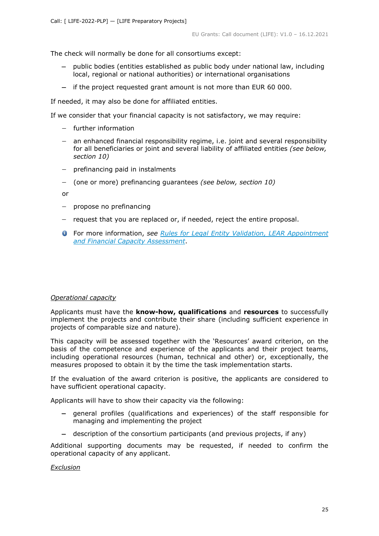The check will normally be done for all consortiums except:

- − public bodies (entities established as public body under national law, including local, regional or national authorities) or international organisations
- − if the project requested grant amount is not more than EUR 60 000.

If needed, it may also be done for affiliated entities.

If we consider that your financial capacity is not satisfactory, we may require:

- − further information
- − an enhanced financial responsibility regime, i.e. joint and several responsibility for all beneficiaries or joint and several liability of affiliated entities *(see below, section 10)*
- − prefinancing paid in instalments
- − (one or more) prefinancing guarantees *(see below, section 10)*

or

- − propose no prefinancing
- − request that you are replaced or, if needed, reject the entire proposal.
- For more information, *see Rules for [Legal Entity Validation, LEAR Appointment](https://ec.europa.eu/info/funding-tenders/opportunities/docs/2021-2027/common/guidance/rules-lev-lear-fca_en.pdf)  [and Financial Capacity Assessment](https://ec.europa.eu/info/funding-tenders/opportunities/docs/2021-2027/common/guidance/rules-lev-lear-fca_en.pdf)*.

## <span id="page-24-0"></span>*Operational capacity*

Applicants must have the **know-how, qualifications** and **resources** to successfully implement the projects and contribute their share (including sufficient experience in projects of comparable size and nature).

This capacity will be assessed together with the 'Resources' award criterion, on the basis of the competence and experience of the applicants and their project teams, including operational resources (human, technical and other) or, exceptionally, the measures proposed to obtain it by the time the task implementation starts.

If the evaluation of the award criterion is positive, the applicants are considered to have sufficient operational capacity.

Applicants will have to show their capacity via the following:

- − general profiles (qualifications and experiences) of the staff responsible for managing and implementing the project
- − description of the consortium participants (and previous projects, if any)

Additional supporting documents may be requested, if needed to confirm the operational capacity of any applicant.

<span id="page-24-1"></span>*Exclusion*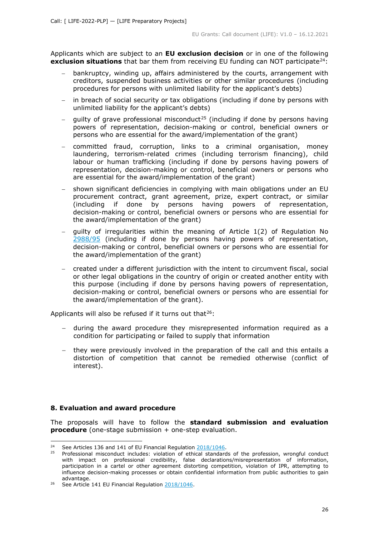Applicants which are subject to an **EU exclusion decision** or in one of the following **exclusion situations** that bar them from receiving EU funding can NOT participate<sup>24</sup>:

- bankruptcy, winding up, affairs administered by the courts, arrangement with creditors, suspended business activities or other similar procedures (including procedures for persons with unlimited liability for the applicant's debts)
- in breach of social security or tax obligations (including if done by persons with unlimited liability for the applicant's debts)
- quilty of grave professional misconduct<sup>[25](#page-25-2)</sup> (including if done by persons having powers of representation, decision-making or control, beneficial owners or persons who are essential for the award/implementation of the grant)
- − committed fraud, corruption, links to a criminal organisation, money laundering, terrorism-related crimes (including terrorism financing), child labour or human trafficking (including if done by persons having powers of representation, decision-making or control, beneficial owners or persons who are essential for the award/implementation of the grant)
- − shown significant deficiencies in complying with main obligations under an EU procurement contract, grant agreement, prize, expert contract, or similar (including if done by persons having powers of representation, decision-making or control, beneficial owners or persons who are essential for the award/implementation of the grant)
- − guilty of irregularities within the meaning of Article 1(2) of Regulation No [2988/95](http://eur-lex.europa.eu/legal-content/EN/ALL/?uri=CELEX:31995R2988&qid=1501598622514) (including if done by persons having powers of representation, decision-making or control, beneficial owners or persons who are essential for the award/implementation of the grant)
- − created under a different jurisdiction with the intent to circumvent fiscal, social or other legal obligations in the country of origin or created another entity with this purpose (including if done by persons having powers of representation, decision-making or control, beneficial owners or persons who are essential for the award/implementation of the grant).

Applicants will also be refused if it turns out that $26$ :

- − during the award procedure they misrepresented information required as a condition for participating or failed to supply that information
- − they were previously involved in the preparation of the call and this entails a distortion of competition that cannot be remedied otherwise (conflict of interest).

## <span id="page-25-0"></span>**8. Evaluation and award procedure**

The proposals will have to follow the **standard submission and evaluation procedure** (one-stage submission + one-step evaluation.

<span id="page-25-2"></span><span id="page-25-1"></span><sup>&</sup>lt;sup>24</sup> See Articles 136 and 141 of EU Financial Regulation  $\frac{2018/1046}{25}$ .

<sup>25</sup> Professional misconduct includes: violation of ethical standards of the profession, wrongful conduct with impact on professional credibility, false declarations/misrepresentation of information, participation in a cartel or other agreement distorting competition, violation of IPR, attempting to influence decision-making processes or obtain confidential information from public authorities to gain advantage.

<span id="page-25-3"></span><sup>&</sup>lt;sup>26</sup> See Article 141 EU Financial Regulation [2018/1046.](https://eur-lex.europa.eu/legal-content/EN/ALL/?uri=CELEX:32018R1046&qid=1535046024012)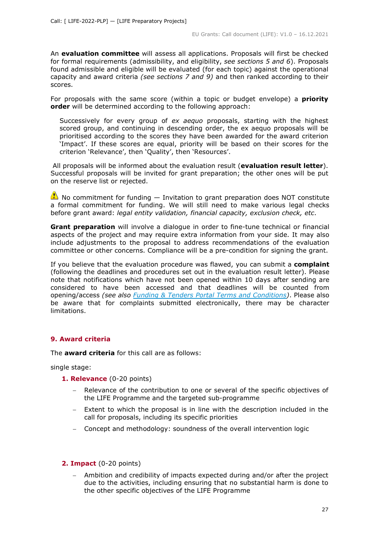An **evaluation committee** will assess all applications. Proposals will first be checked for formal requirements (admissibility, and eligibility, *see sections 5 and 6*). Proposals found admissible and eligible will be evaluated (for each topic) against the operational capacity and award criteria *(see sections 7 and 9)* and then ranked according to their scores.

For proposals with the same score (within a topic or budget envelope) a **priority order** will be determined according to the following approach:

Successively for every group of *ex aequo* proposals, starting with the highest scored group, and continuing in descending order, the ex aequo proposals will be prioritised according to the scores they have been awarded for the award criterion 'Impact'. If these scores are equal, priority will be based on their scores for the criterion 'Relevance', then 'Quality', then 'Resources'.

All proposals will be informed about the evaluation result (**evaluation result letter**). Successful proposals will be invited for grant preparation; the other ones will be put on the reserve list or rejected.

 $\bullet$  No commitment for funding  $-$  Invitation to grant preparation does NOT constitute a formal commitment for funding. We will still need to make various legal checks before grant award: *legal entity validation, financial capacity, exclusion check, etc*.

**Grant preparation** will involve a dialogue in order to fine-tune technical or financial aspects of the project and may require extra information from your side. It may also include adjustments to the proposal to address recommendations of the evaluation committee or other concerns. Compliance will be a pre-condition for signing the grant.

If you believe that the evaluation procedure was flawed, you can submit a **complaint** (following the deadlines and procedures set out in the evaluation result letter). Please note that notifications which have not been opened within 10 days after sending are considered to have been accessed and that deadlines will be counted from opening/access *(see also [Funding & Tenders Portal Terms and Conditions\)](https://ec.europa.eu/info/funding-tenders/opportunities/docs/2021-2027/common/ftp/tc_en.pdf)*. Please also be aware that for complaints submitted electronically, there may be character limitations.

## <span id="page-26-0"></span>**9. Award criteria**

The **award criteria** for this call are as follows:

single stage:

## **1. Relevance** (0-20 points)

- Relevance of the contribution to one or several of the specific objectives of the LIFE Programme and the targeted sub-programme
- − Extent to which the proposal is in line with the description included in the call for proposals, including its specific priorities
- − Concept and methodology: soundness of the overall intervention logic

## **2. Impact** (0-20 points)

− Ambition and credibility of impacts expected during and/or after the project due to the activities, including ensuring that no substantial harm is done to the other specific objectives of the LIFE Programme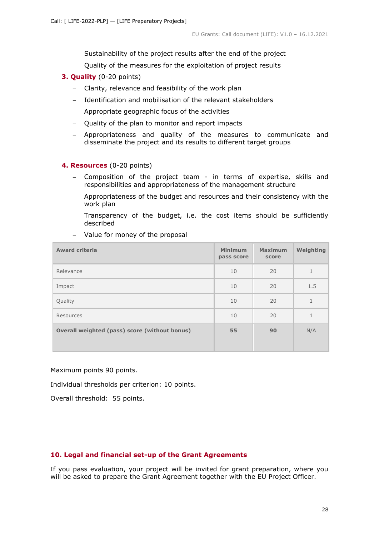- − Sustainability of the project results after the end of the project
- − Quality of the measures for the exploitation of project results
- **3. Quality** (0-20 points)
	- − Clarity, relevance and feasibility of the work plan
	- Identification and mobilisation of the relevant stakeholders
	- − Appropriate geographic focus of the activities
	- Quality of the plan to monitor and report impacts
	- Appropriateness and quality of the measures to communicate and disseminate the project and its results to different target groups

#### **4. Resources** (0-20 points)

- − Composition of the project team in terms of expertise, skills and responsibilities and appropriateness of the management structure
- − Appropriateness of the budget and resources and their consistency with the work plan
- − Transparency of the budget, i.e. the cost items should be sufficiently described

| <b>Award criteria</b>                         | <b>Minimum</b><br>pass score | <b>Maximum</b><br>score | Weighting |
|-----------------------------------------------|------------------------------|-------------------------|-----------|
| Relevance                                     | 10                           | 20                      | 1         |
| Impact                                        | 10                           | 20                      | 1.5       |
| Quality                                       | 10                           | 20                      | 1         |
| Resources                                     | 10                           | 20                      | 1         |
| Overall weighted (pass) score (without bonus) | 55                           | 90                      | N/A       |
|                                               |                              |                         |           |

− Value for money of the proposal

Maximum points 90 points.

Individual thresholds per criterion: 10 points.

Overall threshold: 55 points.

## <span id="page-27-0"></span>**10. Legal and financial set-up of the Grant Agreements**

If you pass evaluation, your project will be invited for grant preparation, where you will be asked to prepare the Grant Agreement together with the EU Project Officer.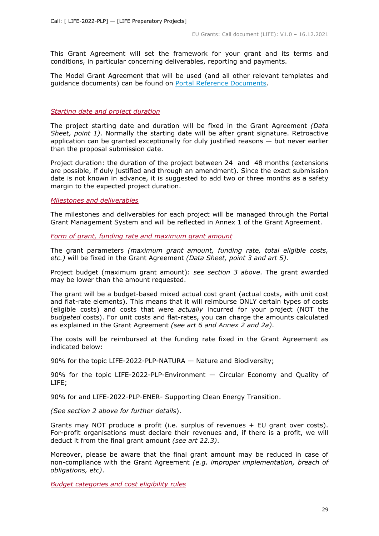This Grant Agreement will set the framework for your grant and its terms and conditions, in particular concerning deliverables, reporting and payments.

The Model Grant Agreement that will be used (and all other relevant templates and guidance documents) can be found on [Portal Reference Documents.](https://ec.europa.eu/info/funding-tenders/opportunities/portal/screen/how-to-participate/reference-documents)

#### <span id="page-28-0"></span>*Starting date and project duration*

The project starting date and duration will be fixed in the Grant Agreement *(Data Sheet, point 1)*. Normally the starting date will be after grant signature. Retroactive application can be granted exceptionally for duly justified reasons  $-$  but never earlier than the proposal submission date.

Project duration: the duration of the project between 24 and 48 months (extensions are possible, if duly justified and through an amendment). Since the exact submission date is not known in advance, it is suggested to add two or three months as a safety margin to the expected project duration.

#### <span id="page-28-1"></span>*Milestones and deliverables*

The milestones and deliverables for each project will be managed through the Portal Grant Management System and will be reflected in Annex 1 of the Grant Agreement.

<span id="page-28-2"></span>*Form of grant, funding rate and maximum grant amount*

The grant parameters *(maximum grant amount, funding rate, total eligible costs, etc.)* will be fixed in the Grant Agreement *(Data Sheet, point 3 and art 5)*.

Project budget (maximum grant amount): *see section 3 above*. The grant awarded may be lower than the amount requested.

The grant will be a budget-based mixed actual cost grant (actual costs, with unit cost and flat-rate elements). This means that it will reimburse ONLY certain types of costs (eligible costs) and costs that were *actually* incurred for your project (NOT the *budgeted* costs). For unit costs and flat-rates, you can charge the amounts calculated as explained in the Grant Agreement *(see art 6 and Annex 2 and 2a)*.

The costs will be reimbursed at the funding rate fixed in the Grant Agreement as indicated below:

90% for the topic LIFE-2022-PLP-NATURA — Nature and Biodiversity;

90% for the topic LIFE-2022-PLP-Environment — Circular Economy and Quality of LIFE;

90% for and LIFE-2022-PLP-ENER- Supporting Clean Energy Transition.

*(See section 2 above for further details*).

Grants may NOT produce a profit (i.e. surplus of revenues + EU grant over costs). For-profit organisations must declare their revenues and, if there is a profit, we will deduct it from the final grant amount *(see art 22.3)*.

Moreover, please be aware that the final grant amount may be reduced in case of non-compliance with the Grant Agreement *(e.g. improper implementation, breach of obligations, etc)*.

<span id="page-28-3"></span>*Budget categories and cost eligibility rules*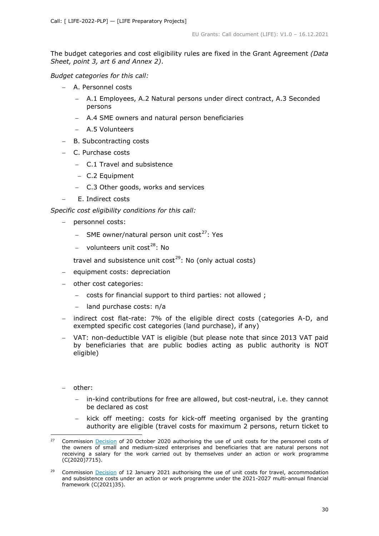The budget categories and cost eligibility rules are fixed in the Grant Agreement *(Data Sheet, point 3, art 6 and Annex 2)*.

*Budget categories for this call:*

- − A. Personnel costs
	- − A.1 Employees, A.2 Natural persons under direct contract, A.3 Seconded persons
	- − A.4 SME owners and natural person beneficiaries
	- − A.5 Volunteers
- − B. Subcontracting costs
- − C. Purchase costs
	- − C.1 Travel and subsistence
	- − C.2 Equipment
	- − C.3 Other goods, works and services
- E. Indirect costs

*Specific cost eligibility conditions for this call:* 

- − personnel costs:
	- SME owner/natural person unit cost<sup>[27](#page-29-0)</sup>: Yes
	- volunteers unit cost<sup>[28](#page-29-1)</sup>: No

travel and subsistence unit cost<sup>[29](#page-29-2)</sup>: No (only actual costs)

- − equipment costs: depreciation
- − other cost categories:
	- − costs for financial support to third parties: not allowed ;
	- land purchase costs: n/a
- indirect cost flat-rate: 7% of the eligible direct costs (categories A-D, and exempted specific cost categories (land purchase), if any)
- − VAT: non-deductible VAT is eligible (but please note that since 2013 VAT paid by beneficiaries that are public bodies acting as public authority is NOT eligible)
- − other:
	- in-kind contributions for free are allowed, but cost-neutral, i.e. they cannot be declared as cost
	- kick off meeting: costs for kick-off meeting organised by the granting authority are eligible (travel costs for maximum 2 persons, return ticket to

<span id="page-29-0"></span><sup>&</sup>lt;sup>27</sup> Commission [Decision](https://ec.europa.eu/info/funding-tenders/opportunities/docs/2021-2027/common/guidance/unit-cost-decision-sme-owners-natural-persons_en.pdf) of 20 October 2020 authorising the use of unit costs for the personnel costs of the owners of small and medium-sized enterprises and beneficiaries that are natural persons not receiving a salary for the work carried out by themselves under an action or work programme (C(2020)7715).

<span id="page-29-2"></span><span id="page-29-1"></span>Commission **Decision** of 12 January 2021 authorising the use of unit costs for travel, accommodation and subsistence costs under an action or work programme under the 2021-2027 multi-annual financial framework (C(2021)35).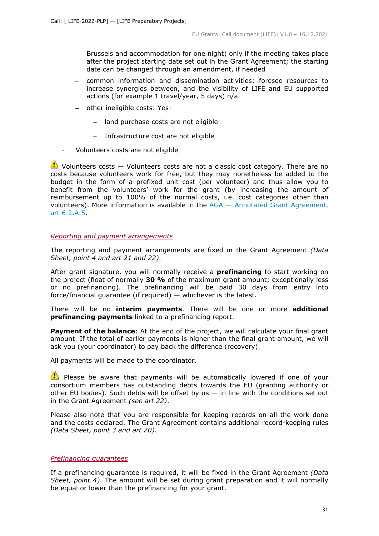Brussels and accommodation for one night) only if the meeting takes place after the project starting date set out in the Grant Agreement; the starting date can be changed through an amendment, if needed

- − common information and dissemination activities: foresee resources to increase synergies between, and the visibility of LIFE and EU supported actions (for example 1 travel/year, 5 days) n/a
- − other ineligible costs: Yes:
	- − land purchase costs are not eligible
	- − Infrastructure cost are not eligible
- Volunteers costs are not eligible

 $\bullet$  Volunteers costs  $-$  Volunteers costs are not a classic cost category. There are no costs because volunteers work for free, but they may nonetheless be added to the budget in the form of a prefixed unit cost (per volunteer) and thus allow you to benefit from the volunteers' work for the grant (by increasing the amount of reimbursement up to 100% of the normal costs, i.e. cost categories other than volunteers). More information is available in the  $AGA - Annotated Grant Agreement<sub>L</sub>$ [art 6.2.A.5.](https://ec.europa.eu/info/funding-tenders/opportunities/docs/2021-2027/common/guidance/aga_en.pdf)

#### <span id="page-30-0"></span>*Reporting and payment arrangements*

The reporting and payment arrangements are fixed in the Grant Agreement *(Data Sheet, point 4 and art 21 and 22)*.

After grant signature, you will normally receive a **prefinancing** to start working on the project (float of normally **30 %** of the maximum grant amount; exceptionally less or no prefinancing). The prefinancing will be paid 30 days from entry into force/financial guarantee (if required) — whichever is the latest*.*

There will be no **interim payments**. There will be one or more **additional prefinancing payments** linked to a prefinancing report.

**Payment of the balance**: At the end of the project, we will calculate your final grant amount. If the total of earlier payments is higher than the final grant amount, we will ask you (your coordinator) to pay back the difference (recovery).

All payments will be made to the coordinator.

 $\bullet$  Please be aware that payments will be automatically lowered if one of your consortium members has outstanding debts towards the EU (granting authority or other EU bodies). Such debts will be offset by us  $-$  in line with the conditions set out in the Grant Agreement *(see art 22)*.

Please also note that you are responsible for keeping records on all the work done and the costs declared. The Grant Agreement contains additional record-keeping rules *(Data Sheet, point 3 and art 20)*.

## <span id="page-30-1"></span>*Prefinancing guarantees*

If a prefinancing guarantee is required, it will be fixed in the Grant Agreement *(Data Sheet, point 4)*. The amount will be set during grant preparation and it will normally be equal or lower than the prefinancing for your grant.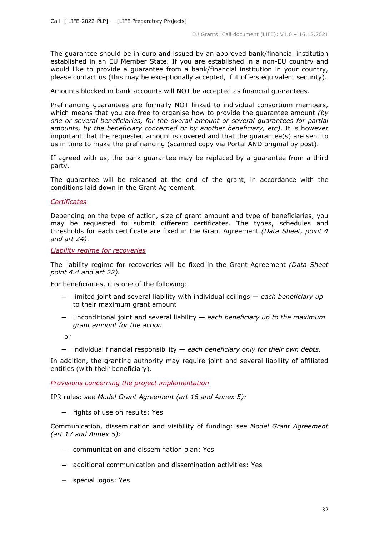The guarantee should be in euro and issued by an approved bank/financial institution established in an EU Member State. If you are established in a non-EU country and would like to provide a guarantee from a bank/financial institution in your country, please contact us (this may be exceptionally accepted, if it offers equivalent security).

Amounts blocked in bank accounts will NOT be accepted as financial guarantees.

Prefinancing guarantees are formally NOT linked to individual consortium members, which means that you are free to organise how to provide the guarantee amount *(by one or several beneficiaries, for the overall amount or several guarantees for partial amounts, by the beneficiary concerned or by another beneficiary, etc)*. It is however important that the requested amount is covered and that the guarantee(s) are sent to us in time to make the prefinancing (scanned copy via Portal AND original by post).

If agreed with us, the bank guarantee may be replaced by a guarantee from a third party.

The guarantee will be released at the end of the grant, in accordance with the conditions laid down in the Grant Agreement.

#### <span id="page-31-0"></span>*Certificates*

Depending on the type of action, size of grant amount and type of beneficiaries, you may be requested to submit different certificates. The types, schedules and thresholds for each certificate are fixed in the Grant Agreement *(Data Sheet, point 4 and art 24)*.

<span id="page-31-1"></span>*Liability regime for recoveries*

The liability regime for recoveries will be fixed in the Grant Agreement *(Data Sheet point 4.4 and art 22).*

For beneficiaries, it is one of the following:

- − limited joint and several liability with individual ceilings *each beneficiary up*  to their maximum grant amount
- − unconditional joint and several liability *each beneficiary up to the maximum grant amount for the action*

or

− individual financial responsibility — *each beneficiary only for their own debts*.

In addition, the granting authority may require joint and several liability of affiliated entities (with their beneficiary).

<span id="page-31-2"></span>*Provisions concerning the project implementation*

IPR rules: *see Model Grant Agreement (art 16 and Annex 5):*

− rights of use on results: Yes

Communication, dissemination and visibility of funding: *see Model Grant Agreement (art 17 and Annex 5):*

- − communication and dissemination plan: Yes
- − additional communication and dissemination activities: Yes
- − special logos: Yes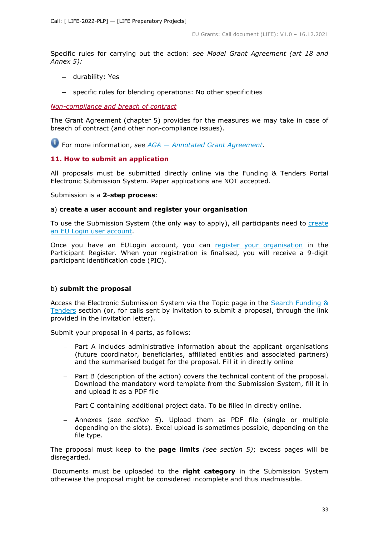Specific rules for carrying out the action: *see Model Grant Agreement (art 18 and Annex 5):*

- − durability: Yes
- − specific rules for blending operations: No other specificities

## <span id="page-32-0"></span>*Non-compliance and breach of contract*

The Grant Agreement (chapter 5) provides for the measures we may take in case of breach of contract (and other non-compliance issues).

For more information, *see [AGA —](https://ec.europa.eu/info/funding-tenders/opportunities/docs/2021-2027/common/guidance/aga_en.pdf) [Annotated Grant Agreement](https://ec.europa.eu/info/funding-tenders/opportunities/docs/2021-2027/common/guidance/aga_en.pdf)*.

## <span id="page-32-1"></span>**11. How to submit an application**

All proposals must be submitted directly online via the Funding & Tenders Portal Electronic Submission System. Paper applications are NOT accepted.

Submission is a **2-step process**:

#### a) **create a user account and register your organisation**

To use the Submission System (the only way to apply), all participants need to create [an EU Login user account.](https://webgate.ec.europa.eu/cas/eim/external/register.cgi)

Once you have an EULogin account, you can [register your organisation](https://ec.europa.eu/info/funding-tenders/opportunities/portal/screen/how-to-participate/participant-register) in the Participant Register. When your registration is finalised, you will receive a 9-digit participant identification code (PIC).

## b) **submit the proposal**

Access the Electronic Submission System via the Topic page in the Search Funding & [Tenders](https://ec.europa.eu/info/funding-tenders/opportunities/portal/screen/opportunities/topic-search;freeTextSearchKeyword=;typeCodes=0,1;statusCodes=31094501,31094502,31094503;programCode=null;programDivisionCode=null;focusAreaCode=null;crossCuttingPriorityCode=null;callCode=Default;sortQuery=openingDate;orderBy=asc;onlyTenders=false;topicListKey=topicSearchTablePageState) section (or, for calls sent by invitation to submit a proposal, through the link provided in the invitation letter).

Submit your proposal in 4 parts, as follows:

- Part A includes administrative information about the applicant organisations (future coordinator, beneficiaries, affiliated entities and associated partners) and the summarised budget for the proposal. Fill it in directly online
- − Part B (description of the action) covers the technical content of the proposal. Download the mandatory word template from the Submission System, fill it in and upload it as a PDF file
- Part C containing additional project data. To be filled in directly online.
- − Annexes (*see section 5*). Upload them as PDF file (single or multiple depending on the slots). Excel upload is sometimes possible, depending on the file type.

The proposal must keep to the **page limits** *(see section 5)*; excess pages will be disregarded.

Documents must be uploaded to the **right category** in the Submission System otherwise the proposal might be considered incomplete and thus inadmissible.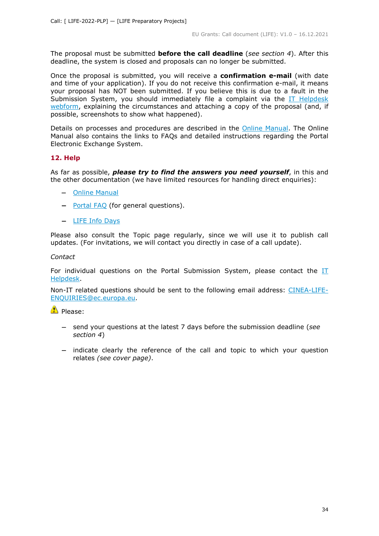The proposal must be submitted **before the call deadline** (*see section 4*). After this deadline, the system is closed and proposals can no longer be submitted.

Once the proposal is submitted, you will receive a **confirmation e-mail** (with date and time of your application). If you do not receive this confirmation e-mail, it means your proposal has NOT been submitted. If you believe this is due to a fault in the Submission System, you should immediately file a complaint via the IT Helpdesk [webform,](https://ec.europa.eu/info/funding-tenders/opportunities/portal/screen/support/helpdesks/contact-form) explaining the circumstances and attaching a copy of the proposal (and, if possible, screenshots to show what happened).

Details on processes and procedures are described in the [Online Manual.](https://ec.europa.eu/info/funding-tenders/opportunities/docs/2021-2027/common/guidance/om_en.pdf) The Online Manual also contains the links to FAQs and detailed instructions regarding the Portal Electronic Exchange System.

## <span id="page-33-0"></span>**12. Help**

As far as possible, *please try to find the answers you need yourself*, in this and the other documentation (we have limited resources for handling direct enquiries):

- − [Online Manual](https://ec.europa.eu/info/funding-tenders/opportunities/docs/2021-2027/common/guidance/om_en.pdf)
- − [Portal FAQ](https://ec.europa.eu/info/funding-tenders/opportunities/portal/screen/support/faq;categories=;programme=null;actions=;keyword=) (for general questions).
- − [LIFE](https://cinea.ec.europa.eu/life/life-support-applicants_en) [Info Days](https://cinea.ec.europa.eu/life/life-support-applicants_en)

Please also consult the Topic page regularly, since we will use it to publish call updates. (For invitations, we will contact you directly in case of a call update).

#### *Contact*

For individual questions on the Portal Submission System, please contact the [IT](https://ec.europa.eu/info/funding-tenders/opportunities/portal/screen/support/helpdesks/contact-form)  [Helpdesk.](https://ec.europa.eu/info/funding-tenders/opportunities/portal/screen/support/helpdesks/contact-form)

Non-IT related questions should be sent to the following email address: [CINEA-LIFE-](mailto:CINEA-LIFE-ENQUIRIES@ec.europa.eu)[ENQUIRIES@ec.europa.eu.](mailto:CINEA-LIFE-ENQUIRIES@ec.europa.eu)

**Please:** 

- − send your questions at the latest 7 days before the submission deadline (*see section 4*)
- − indicate clearly the reference of the call and topic to which your question relates *(see cover page)*.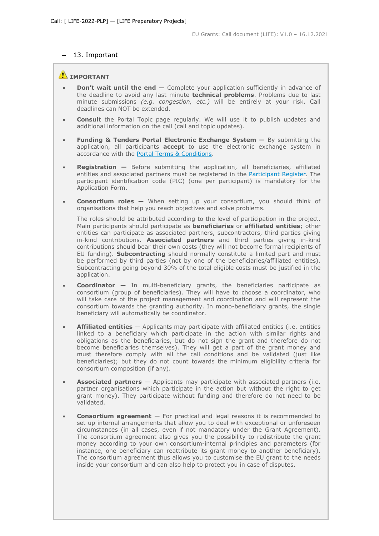## − 13. Important

## **IMPORTANT**

- **Don't wait until the end —** Complete your application sufficiently in advance of the deadline to avoid any last minute **technical problems**. Problems due to last minute submissions *(e.g. congestion, etc.)* will be entirely at your risk. Call deadlines can NOT be extended.
- **Consult** the Portal Topic page regularly. We will use it to publish updates and additional information on the call (call and topic updates).
- **Funding & Tenders Portal Electronic Exchange System —** By submitting the application, all participants **accept** to use the electronic exchange system in accordance with the [Portal Terms & Conditions.](https://ec.europa.eu/info/funding-tenders/opportunities/docs/2021-2027/common/ftp/tc_en.pdf)
- **Registration —** Before submitting the application, all beneficiaries, affiliated entities and associated partners must be registered in the [Participant Register.](https://ec.europa.eu/info/funding-tenders/opportunities/portal/screen/how-to-participate/participant-register) The participant identification code (PIC) (one per participant) is mandatory for the Application Form.
- **Consortium roles —** When setting up your consortium, you should think of organisations that help you reach objectives and solve problems.

The roles should be attributed according to the level of participation in the project. Main participants should participate as **beneficiaries** or **affiliated entities**; other entities can participate as associated partners, subcontractors, third parties giving in-kind contributions. **Associated partners** and third parties giving in-kind contributions should bear their own costs (they will not become formal recipients of EU funding). **Subcontracting** should normally constitute a limited part and must be performed by third parties (not by one of the beneficiaries/affiliated entities). Subcontracting going beyond 30% of the total eligible costs must be justified in the application.

- **Coordinator —** In multi-beneficiary grants, the beneficiaries participate as consortium (group of beneficiaries). They will have to choose a coordinator, who will take care of the project management and coordination and will represent the consortium towards the granting authority. In mono-beneficiary grants, the single beneficiary will automatically be coordinator.
- **Affiliated entities** Applicants may participate with affiliated entities (i.e. entities linked to a beneficiary which participate in the action with similar rights and obligations as the beneficiaries, but do not sign the grant and therefore do not become beneficiaries themselves). They will get a part of the grant money and must therefore comply with all the call conditions and be validated (just like beneficiaries); but they do not count towards the minimum eligibility criteria for consortium composition (if any).
- **Associated partners** Applicants may participate with associated partners (i.e. partner organisations which participate in the action but without the right to get grant money). They participate without funding and therefore do not need to be validated.
- **Consortium agreement**  For practical and legal reasons it is recommended to set up internal arrangements that allow you to deal with exceptional or unforeseen circumstances (in all cases, even if not mandatory under the Grant Agreement). The consortium agreement also gives you the possibility to redistribute the grant money according to your own consortium-internal principles and parameters (for instance, one beneficiary can reattribute its grant money to another beneficiary). The consortium agreement thus allows you to customise the EU grant to the needs inside your consortium and can also help to protect you in case of disputes.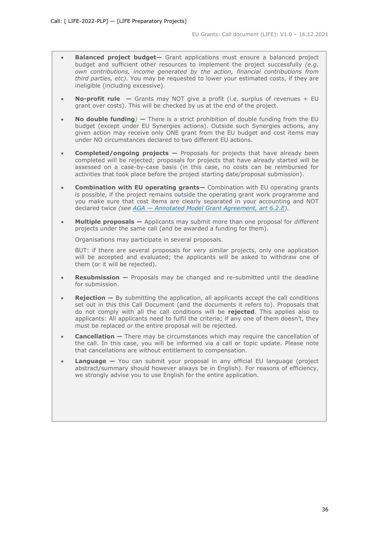- **Balanced project budget—** Grant applications must ensure a balanced project budget and sufficient other resources to implement the project successfully *(e.g. own contributions, income generated by the action, financial contributions from third parties, etc)*. You may be requested to lower your estimated costs, if they are ineligible (including excessive).
- **No-profit rule —** Grants may NOT give a profit (i.e. surplus of revenues + EU grant over costs). This will be checked by us at the end of the project.
- **No double funding***)* **—** There is a strict prohibition of double funding from the EU budget (except under EU Synergies actions). Outside such Synergies actions, any given action may receive only ONE grant from the EU budget and cost items may under NO circumstances declared to two different EU actions.
- **Completed/ongoing projects —** Proposals for projects that have already been completed will be rejected; proposals for projects that have already started will be assessed on a case-by-case basis (in this case, no costs can be reimbursed for activities that took place before the project starting date/proposal submission).
- **Combination with EU operating grants—** Combination with EU operating grants is possible, if the project remains outside the operating grant work programme and you make sure that cost items are clearly separated in your accounting and NOT declared twice *(see [AGA —](https://ec.europa.eu/info/funding-tenders/opportunities/docs/2021-2027/common/guidance/aga_en.pdf) [Annotated Model Grant Agreement, art 6.2.E\)](https://ec.europa.eu/info/funding-tenders/opportunities/docs/2021-2027/common/guidance/aga_en.pdf).*
- **Multiple proposals —** Applicants may submit more than one proposal for *different* projects under the same call (and be awarded a funding for them).

Organisations may participate in several proposals.

BUT: if there are several proposals for *very similar* projects, only one application will be accepted and evaluated; the applicants will be asked to withdraw one of them (or it will be rejected).

- **Resubmission** Proposals may be changed and re-submitted until the deadline for submission.
- **Rejection** By submitting the application, all applicants accept the call conditions set out in this this Call Document (and the documents it refers to). Proposals that do not comply with all the call conditions will be **rejected**. This applies also to applicants: All applicants need to fulfil the criteria; if any one of them doesn't, they must be replaced or the entire proposal will be rejected.
- **Cancellation –** There may be circumstances which may require the cancellation of the call. In this case, you will be informed via a call or topic update. Please note that cancellations are without entitlement to compensation.
- **Language** You can submit your proposal in any official EU language (project abstract/summary should however always be in English). For reasons of efficiency, we strongly advise you to use English for the entire application.